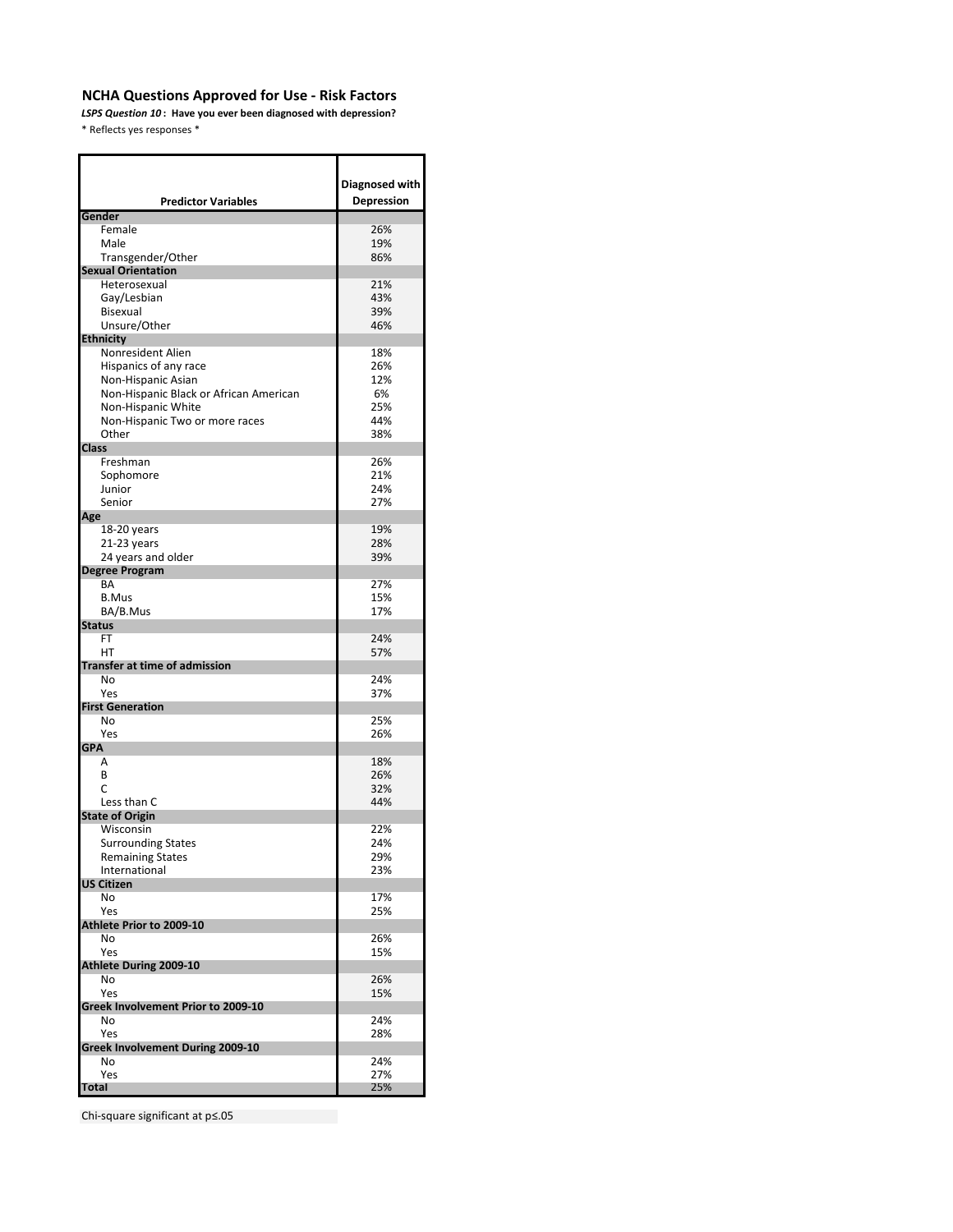*LSPS Question 10* **: Have you ever been diagnosed with depression?** \* Reflects yes responses \*

| <b>Predictor Variables</b>             | Diagnosed with<br>Depression |
|----------------------------------------|------------------------------|
| Gender                                 |                              |
| Female                                 | 26%                          |
| Male                                   | 19%                          |
| Transgender/Other                      | 86%                          |
| <b>Sexual Orientation</b>              |                              |
| Heterosexual                           | 21%                          |
| Gay/Lesbian                            | 43%                          |
| <b>Bisexual</b>                        | 39%                          |
| Unsure/Other                           | 46%                          |
| <b>Ethnicity</b><br>Nonresident Alien  | 18%                          |
| Hispanics of any race                  | 26%                          |
| Non-Hispanic Asian                     | 12%                          |
| Non-Hispanic Black or African American | 6%                           |
| Non-Hispanic White                     | 25%                          |
| Non-Hispanic Two or more races         | 44%                          |
| Other                                  | 38%                          |
| <b>Class</b>                           |                              |
| Freshman                               | 26%                          |
| Sophomore                              | 21%                          |
| Junior                                 | 24%                          |
| Senior                                 | 27%                          |
| Age                                    |                              |
| 18-20 years                            | 19%<br>28%                   |
| $21-23$ years<br>24 years and older    | 39%                          |
| <b>Degree Program</b>                  |                              |
| BA                                     | 27%                          |
| <b>B.Mus</b>                           | 15%                          |
| BA/B.Mus                               | 17%                          |
| <b>Status</b>                          |                              |
| FT                                     | 24%                          |
| HT                                     | 57%                          |
| <b>Transfer at time of admission</b>   |                              |
| No<br>Yes                              | 24%<br>37%                   |
| <b>First Generation</b>                |                              |
| No                                     | 25%                          |
| Yes                                    | 26%                          |
| <b>GPA</b>                             |                              |
| А                                      | 18%                          |
| B                                      | 26%                          |
| Ċ                                      | 32%                          |
| Less than C                            | 44%                          |
| <b>State of Origin</b>                 |                              |
| Wisconsin<br><b>Surrounding States</b> | 22%<br>24%                   |
| <b>Remaining States</b>                | 29%                          |
| International                          | 23%                          |
| <b>US Citizen</b>                      |                              |
| No                                     | 17%                          |
| Yes                                    | 25%                          |
| Athlete Prior to 2009-10               |                              |
| No                                     | 26%                          |
| Yes                                    | 15%                          |
| Athlete During 2009-10                 |                              |
| No<br>Yes                              | 26%<br>15%                   |
| Greek Involvement Prior to 2009-10     |                              |
| No                                     | 24%                          |
| Yes                                    | 28%                          |
| Greek Involvement During 2009-10       |                              |
| No                                     | 24%                          |
| Yes                                    | 27%                          |
| <b>Total</b>                           | 25%                          |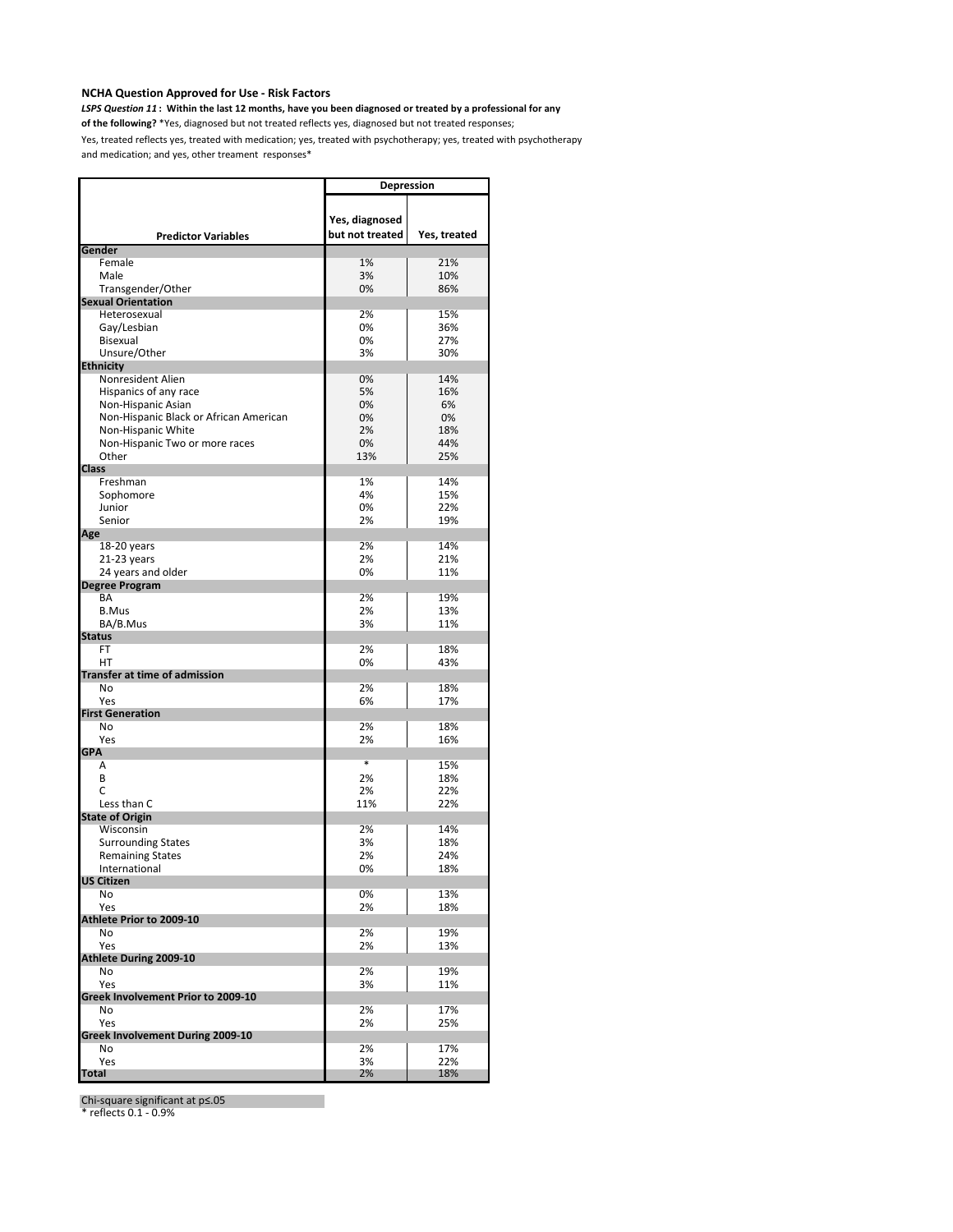*LSPS Question 11* **: Within the last 12 months, have you been diagnosed or treated by a professional for any** 

**of the following?** \*Yes, diagnosed but not treated reflects yes, diagnosed but not treated responses;

Yes, treated reflects yes, treated with medication; yes, treated with psychotherapy; yes, treated with psychotherapy and medication; and yes, other treament responses\*

|                                        | <b>Depression</b>                 |              |
|----------------------------------------|-----------------------------------|--------------|
| <b>Predictor Variables</b>             | Yes, diagnosed<br>but not treated | Yes, treated |
| Gender                                 |                                   |              |
| Female                                 | 1%                                | 21%          |
| Male                                   | 3%                                | 10%          |
| Transgender/Other                      | 0%                                | 86%          |
| <b>Sexual Orientation</b>              |                                   |              |
| Heterosexual                           | 2%<br>0%                          | 15%<br>36%   |
| Gay/Lesbian<br>Bisexual                | 0%                                | 27%          |
| Unsure/Other                           | 3%                                | 30%          |
| <b>Ethnicity</b>                       |                                   |              |
| Nonresident Alien                      | 0%                                | 14%          |
| Hispanics of any race                  | 5%                                | 16%          |
| Non-Hispanic Asian                     | 0%                                | 6%           |
| Non-Hispanic Black or African American | 0%                                | 0%           |
| Non-Hispanic White                     | 2%                                | 18%          |
| Non-Hispanic Two or more races         | 0%                                | 44%          |
| Other                                  | 13%                               | 25%          |
| <b>Class</b>                           |                                   |              |
| Freshman                               | 1%                                | 14%          |
| Sophomore                              | 4%                                | 15%          |
| Junior                                 | 0%                                | 22%          |
| Senior                                 | 2%                                | 19%          |
| Age                                    |                                   |              |
| 18-20 years                            | 2%                                | 14%          |
| 21-23 years                            | 2%                                | 21%          |
| 24 years and older                     | 0%                                | 11%          |
| <b>Degree Program</b>                  |                                   |              |
| BA                                     | 2%                                | 19%          |
| <b>B.Mus</b>                           | 2%                                | 13%          |
| BA/B.Mus                               | 3%                                | 11%          |
| <b>Status</b>                          |                                   |              |
| <b>FT</b>                              | 2%                                | 18%          |
| HT                                     | 0%                                | 43%          |
| <b>Transfer at time of admission</b>   |                                   |              |
| No<br>Yes                              | 2%<br>6%                          | 18%<br>17%   |
| <b>First Generation</b>                |                                   |              |
| No                                     | 2%                                | 18%          |
| Yes                                    | 2%                                | 16%          |
| <b>GPA</b>                             |                                   |              |
| Α                                      | $\ast$                            | 15%          |
| B                                      | 2%                                | 18%          |
| C                                      | 2%                                | 22%          |
| Less than C                            | 11%                               | 22%          |
| <b>State of Origin</b>                 |                                   |              |
| Wisconsin                              | 2%                                | 14%          |
| <b>Surrounding States</b>              | 3%                                | 18%          |
| <b>Remaining States</b>                | 2%                                | 24%          |
| International                          | 0%                                | 18%          |
| <b>US Citizen</b>                      |                                   |              |
| No                                     | 0%                                | 13%          |
| Yes                                    | 2%                                | 18%          |
| Athlete Prior to 2009-10               |                                   |              |
| No                                     | 2%                                | 19%          |
| Yes                                    | 2%                                | 13%          |
| Athlete During 2009-10                 | 2%                                |              |
| No<br>Yes                              |                                   | 19%          |
| Greek Involvement Prior to 2009-10     | 3%                                | 11%          |
| No                                     | 2%                                | 17%          |
| Yes                                    | 2%                                | 25%          |
| Greek Involvement During 2009-10       |                                   |              |
| No                                     | 2%                                | 17%          |
| Yes                                    | 3%                                | 22%          |
| <b>Total</b>                           | 2%                                | 18%          |

Chi-square significant at p≤.05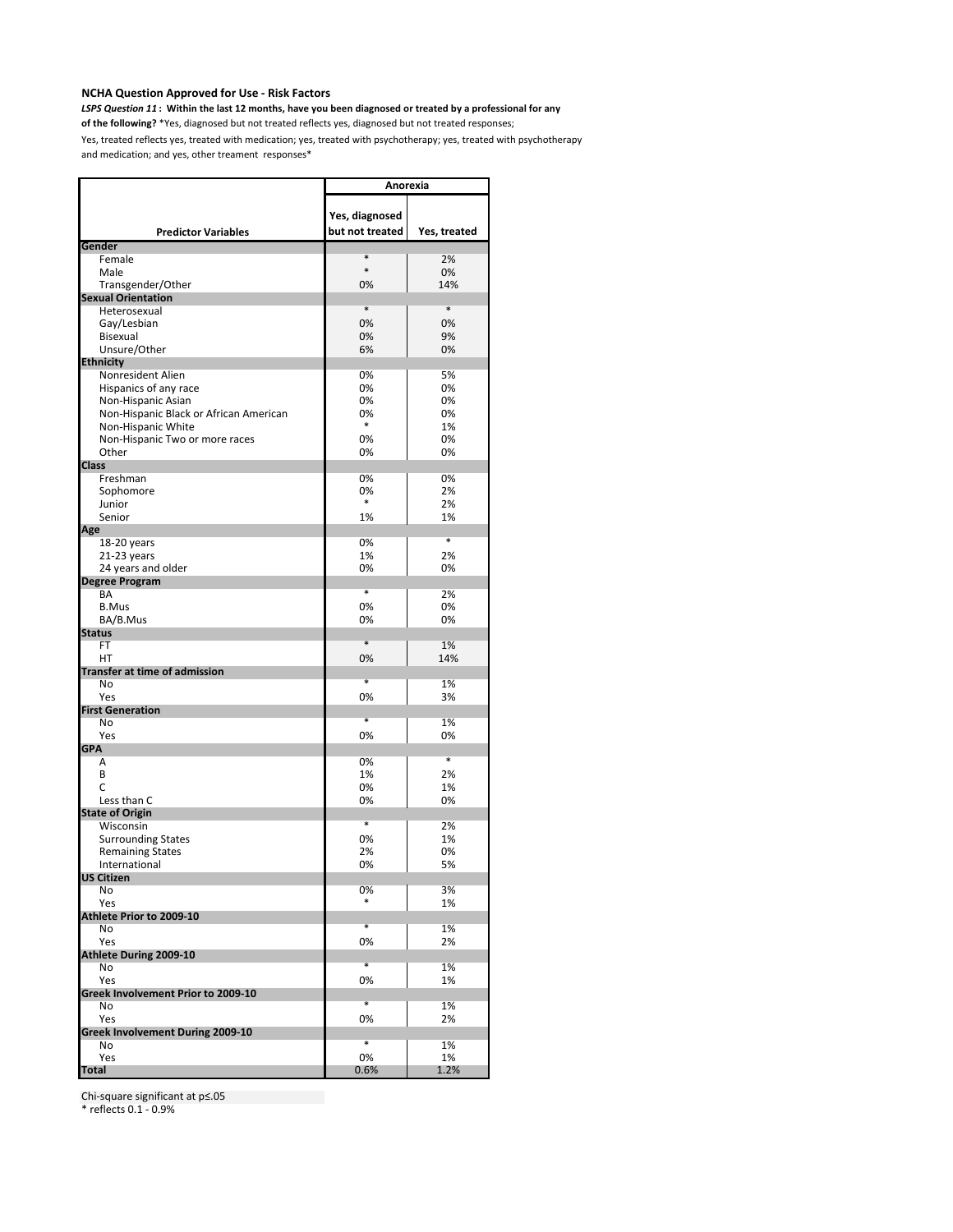*LSPS Question 11* **: Within the last 12 months, have you been diagnosed or treated by a professional for any** 

**of the following?** \*Yes, diagnosed but not treated reflects yes, diagnosed but not treated responses;

Yes, treated reflects yes, treated with medication; yes, treated with psychotherapy; yes, treated with psychotherapy and medication; and yes, other treament responses\*

|                                            | Anorexia        |              |
|--------------------------------------------|-----------------|--------------|
|                                            |                 |              |
|                                            | Yes, diagnosed  |              |
| <b>Predictor Variables</b>                 | but not treated | Yes, treated |
| Gender                                     |                 |              |
| Female                                     | *               | 2%           |
| Male                                       | $\ast$          | 0%           |
| Transgender/Other                          | 0%              | 14%          |
| <b>Sexual Orientation</b>                  |                 |              |
| Heterosexual                               | $\ast$          | $\ast$       |
| Gay/Lesbian                                | 0%              | 0%           |
| Bisexual                                   | 0%              | 9%           |
| Unsure/Other                               | 6%              | 0%           |
| <b>Ethnicity</b>                           | 0%              | 5%           |
| Nonresident Alien<br>Hispanics of any race | 0%              | 0%           |
| Non-Hispanic Asian                         | 0%              | 0%           |
| Non-Hispanic Black or African American     | 0%              | 0%           |
| Non-Hispanic White                         | $\ast$          | 1%           |
| Non-Hispanic Two or more races             | 0%              | 0%           |
| Other                                      | 0%              | 0%           |
| <b>Class</b>                               |                 |              |
| Freshman                                   | 0%              | 0%           |
| Sophomore                                  | 0%              | 2%           |
| Junior                                     | $\ast$          | 2%           |
| Senior                                     | 1%              | 1%           |
| Age                                        |                 |              |
| 18-20 years                                | 0%              | $\ast$       |
| 21-23 years                                | 1%              | 2%           |
| 24 years and older                         | 0%              | 0%           |
| <b>Degree Program</b>                      | *               |              |
| BA                                         |                 | 2%           |
| <b>B.Mus</b>                               | 0%              | 0%           |
| BA/B.Mus<br><b>Status</b>                  | 0%              | 0%           |
| FT                                         | *               | 1%           |
| HT                                         | 0%              | 14%          |
| <b>Transfer at time of admission</b>       |                 |              |
| No                                         | *               | 1%           |
| Yes                                        | 0%              | 3%           |
| <b>First Generation</b>                    |                 |              |
| No                                         | *               | 1%           |
| Yes                                        | 0%              | 0%           |
| <b>GPA</b>                                 |                 |              |
| Α                                          | 0%              | $\ast$       |
| B                                          | 1%              | 2%           |
| C                                          | 0%              | 1%           |
| Less than C                                | 0%              | 0%           |
| <b>State of Origin</b><br>Wisconsin        | *               | 2%           |
| <b>Surrounding States</b>                  | 0%              | 1%           |
| <b>Remaining States</b>                    | 2%              | 0%           |
| International                              | 0%              | 5%           |
| US Citizen                                 |                 |              |
| No                                         | 0%              | 3%           |
| Yes                                        |                 | 1%           |
| Athlete Prior to 2009-10                   |                 |              |
| No                                         | *               | 1%           |
| Yes                                        | 0%              | 2%           |
| Athlete During 2009-10                     |                 |              |
| No                                         | *               | 1%           |
| Yes                                        | 0%              | 1%           |
| Greek Involvement Prior to 2009-10         |                 |              |
| No                                         | *               | 1%           |
| Yes                                        | 0%              | 2%           |
| <b>Greek Involvement During 2009-10</b>    | *               |              |
| No<br>Yes                                  | 0%              | 1%<br>1%     |
| <b>Total</b>                               | 0.6%            | 1.2%         |
|                                            |                 |              |

Chi-square significant at p≤.05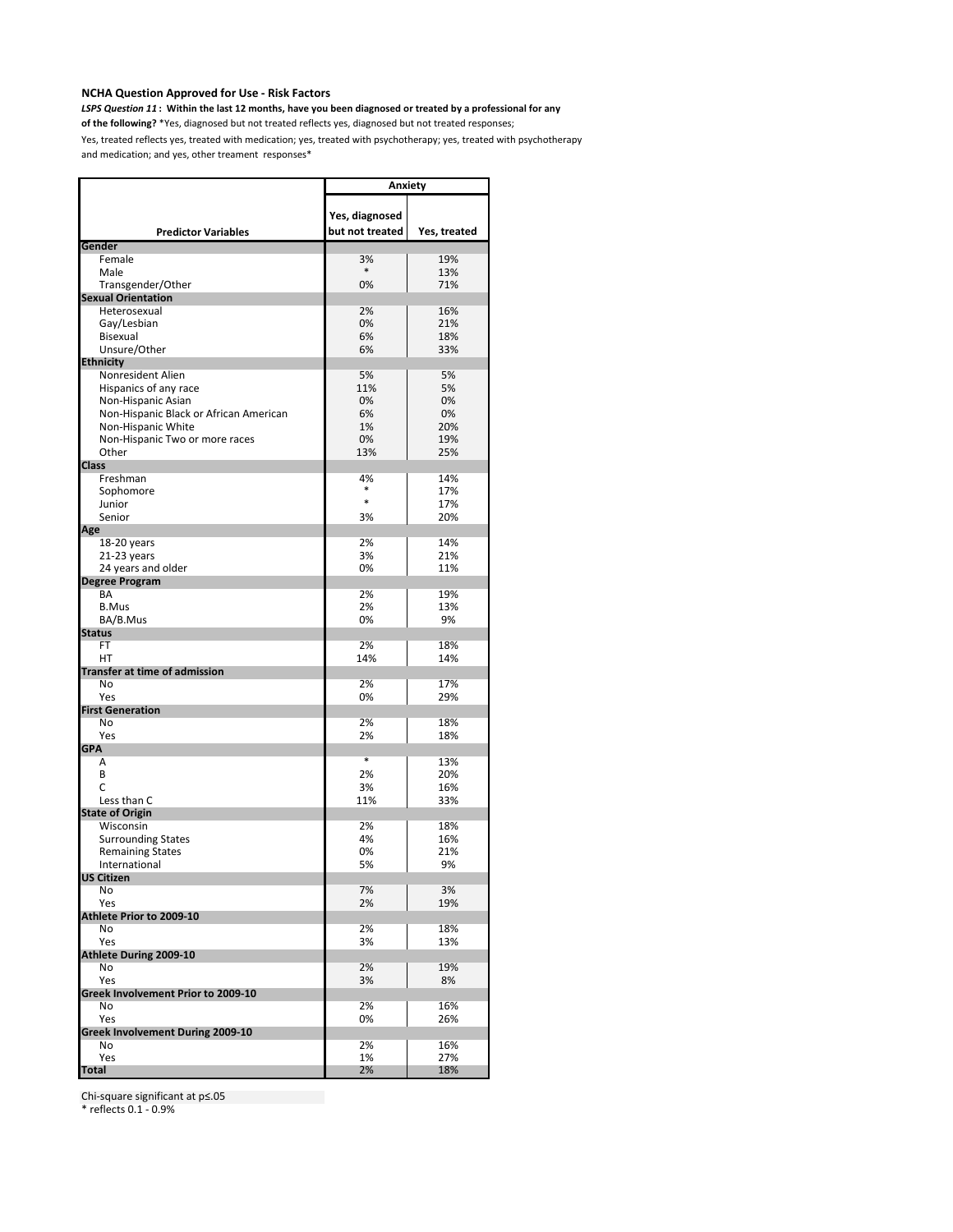*LSPS Question 11* **: Within the last 12 months, have you been diagnosed or treated by a professional for any** 

**of the following?** \*Yes, diagnosed but not treated reflects yes, diagnosed but not treated responses;

Yes, treated reflects yes, treated with medication; yes, treated with psychotherapy; yes, treated with psychotherapy and medication; and yes, other treament responses\*

|                                        | Anxiety         |              |
|----------------------------------------|-----------------|--------------|
|                                        |                 |              |
|                                        | Yes, diagnosed  |              |
| <b>Predictor Variables</b>             | but not treated | Yes, treated |
| Gender                                 |                 |              |
| Female                                 | 3%              | 19%          |
| Male                                   | *               | 13%          |
| Transgender/Other                      | 0%              | 71%          |
| <b>Sexual Orientation</b>              |                 |              |
| Heterosexual                           | 2%<br>0%        | 16%<br>21%   |
| Gay/Lesbian<br>Bisexual                | 6%              | 18%          |
| Unsure/Other                           | 6%              | 33%          |
| <b>Ethnicity</b>                       |                 |              |
| Nonresident Alien                      | 5%              | 5%           |
| Hispanics of any race                  | 11%             | 5%           |
| Non-Hispanic Asian                     | 0%              | 0%           |
| Non-Hispanic Black or African American | 6%              | 0%           |
| Non-Hispanic White                     | 1%              | 20%          |
| Non-Hispanic Two or more races         | 0%              | 19%          |
| Other                                  | 13%             | 25%          |
| <b>Class</b>                           |                 |              |
| Freshman                               | 4%<br>$\ast$    | 14%          |
| Sophomore                              | $\ast$          | 17%          |
| Junior                                 |                 | 17%          |
| Senior                                 | 3%              | 20%          |
| Age<br>18-20 years                     | 2%              | 14%          |
| 21-23 years                            | 3%              | 21%          |
| 24 years and older                     | 0%              | 11%          |
| <b>Degree Program</b>                  |                 |              |
| BA                                     | 2%              | 19%          |
| <b>B.Mus</b>                           | 2%              | 13%          |
| BA/B.Mus                               | 0%              | 9%           |
| <b>Status</b>                          |                 |              |
| FT                                     | 2%              | 18%          |
| HT                                     | 14%             | 14%          |
| <b>Transfer at time of admission</b>   |                 |              |
| No                                     | 2%              | 17%          |
| Yes<br><b>First Generation</b>         | 0%              | 29%          |
| No                                     | 2%              | 18%          |
| Yes                                    | 2%              | 18%          |
| <b>GPA</b>                             |                 |              |
| Α                                      | ¥               | 13%          |
| B                                      | 2%              | 20%          |
| C                                      | 3%              | 16%          |
| Less than C                            | 11%             | 33%          |
| <b>State of Origin</b>                 |                 |              |
| Wisconsin                              | 2%              | 18%          |
| <b>Surrounding States</b>              | 4%              | 16%          |
| <b>Remaining States</b>                | 0%              | 21%          |
| International                          | 5%              | 9%           |
| US Citizen<br>No                       | 7%              | 3%           |
| Yes                                    | 2%              | 19%          |
| Athlete Prior to 2009-10               |                 |              |
| No                                     | 2%              | 18%          |
| Yes                                    | 3%              | 13%          |
| Athlete During 2009-10                 |                 |              |
| No                                     | 2%              | 19%          |
| Yes                                    | 3%              | 8%           |
| Greek Involvement Prior to 2009-10     |                 |              |
| No                                     | 2%              | 16%          |
| Yes                                    | 0%              | 26%          |
| Greek Involvement During 2009-10       |                 |              |
| No                                     | 2%              | 16%          |
| Yes                                    | 1%              | 27%          |
| Total                                  | 2%              | 18%          |

Chi-square significant at p≤.05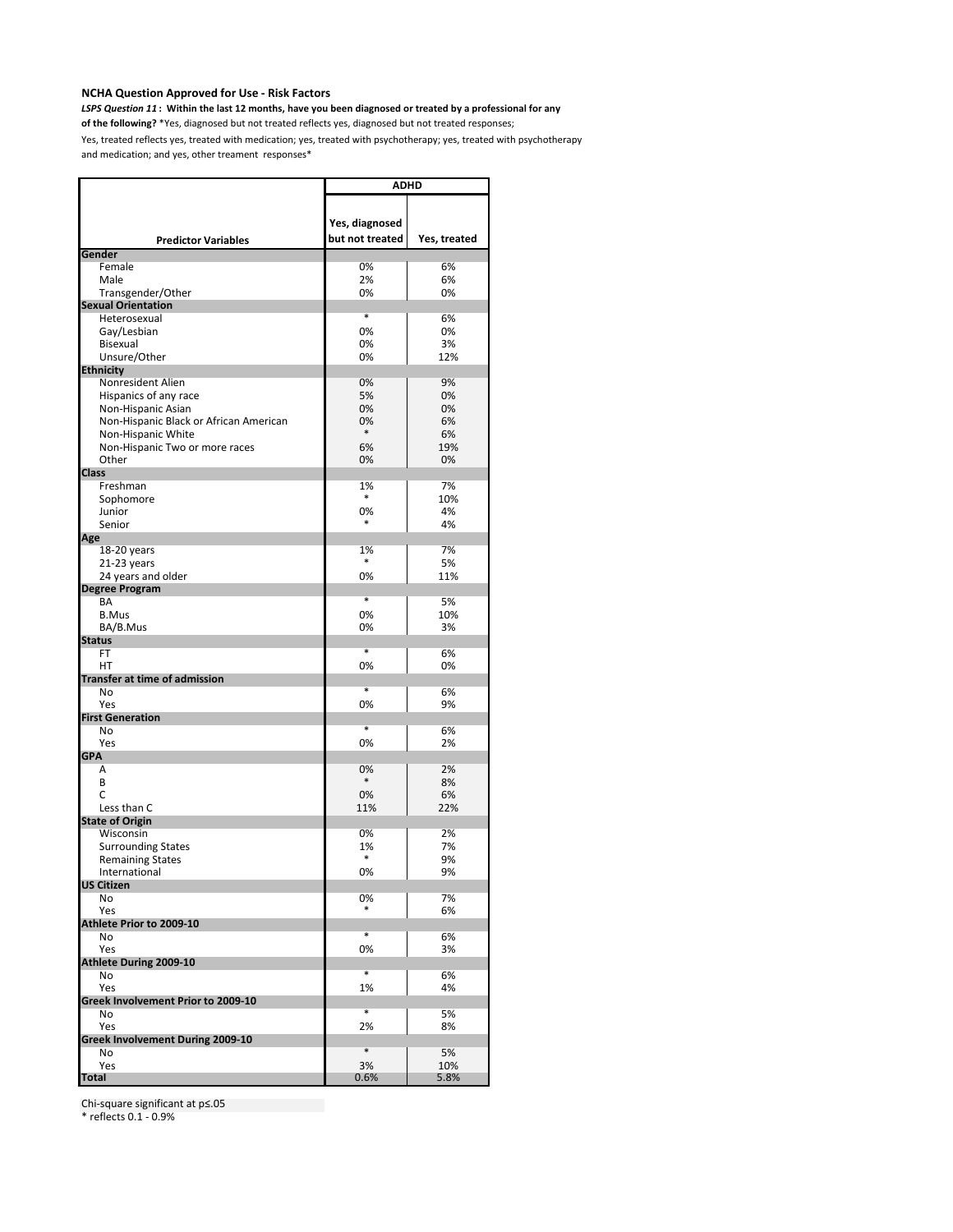*LSPS Question 11* **: Within the last 12 months, have you been diagnosed or treated by a professional for any** 

**of the following?** \*Yes, diagnosed but not treated reflects yes, diagnosed but not treated responses;

Yes, treated reflects yes, treated with medication; yes, treated with psychotherapy; yes, treated with psychotherapy and medication; and yes, other treament responses\*

|                                             | <b>ADHD</b>       |              |
|---------------------------------------------|-------------------|--------------|
|                                             |                   |              |
|                                             | Yes, diagnosed    |              |
|                                             | but not treated   | Yes, treated |
| <b>Predictor Variables</b><br><b>Gender</b> |                   |              |
| Female                                      | 0%                | 6%           |
| Male                                        | 2%                | 6%           |
| Transgender/Other                           | 0%                | 0%           |
| <b>Sexual Orientation</b>                   |                   |              |
| Heterosexual                                | *                 | 6%           |
| Gay/Lesbian                                 | 0%                | 0%           |
| Bisexual                                    | 0%                | 3%           |
| Unsure/Other                                | 0%                | 12%          |
| <b>Ethnicity</b><br>Nonresident Alien       | 0%                | 9%           |
| Hispanics of any race                       | 5%                | 0%           |
| Non-Hispanic Asian                          | 0%                | 0%           |
| Non-Hispanic Black or African American      | 0%                | 6%           |
| Non-Hispanic White                          | $\ast$            | 6%           |
| Non-Hispanic Two or more races              | 6%                | 19%          |
| Other                                       | 0%                | 0%           |
| <b>Class</b>                                |                   |              |
| Freshman                                    | 1%<br>$\ast$      | 7%<br>10%    |
| Sophomore<br>Junior                         | 0%                | 4%           |
| Senior                                      | *                 | 4%           |
| Age                                         |                   |              |
| 18-20 years                                 | 1%                | 7%           |
| 21-23 years                                 | *                 | 5%           |
| 24 years and older                          | 0%                | 11%          |
| <b>Degree Program</b>                       |                   |              |
| BA                                          | $\overline{\ast}$ | 5%           |
| <b>B.Mus</b>                                | 0%                | 10%          |
| BA/B.Mus<br><b>Status</b>                   | 0%                | 3%           |
| FT                                          | *                 | 6%           |
| HT                                          | 0%                | 0%           |
| Transfer at time of admission               |                   |              |
| No                                          | $\overline{\ast}$ | 6%           |
| Yes                                         | 0%                | 9%           |
| <b>First Generation</b>                     | *                 |              |
| No<br>Yes                                   | 0%                | 6%<br>2%     |
| <b>GPA</b>                                  |                   |              |
| Α                                           | 0%                | 2%           |
| B                                           | $\ast$            | 8%           |
| C                                           | 0%                | 6%           |
| Less than C                                 | 11%               | 22%          |
| <b>State of Origin</b>                      |                   |              |
| Wisconsin                                   | 0%                | 2%           |
| <b>Surrounding States</b>                   | 1%<br>*           | 7%           |
| <b>Remaining States</b><br>International    | 0%                | 9%<br>9%     |
| <b>US Citizen</b>                           |                   |              |
| No                                          | 0%                | 7%           |
| Yes                                         |                   | 6%           |
| Athlete Prior to 2009-10                    |                   |              |
| No                                          | *                 | 6%           |
| Yes                                         | 0%                | 3%           |
| Athlete During 2009-10                      | ×                 |              |
| No<br>Yes                                   | 1%                | 6%<br>4%     |
| Greek Involvement Prior to 2009-10          |                   |              |
| N <sub>o</sub>                              | $\overline{\ast}$ | 5%           |
| Yes                                         | 2%                | 8%           |
| Greek Involvement During 2009-10            |                   |              |
| No                                          | $\ast$            | 5%           |
| Yes                                         | 3%                | 10%          |
| <b>Total</b>                                | 0.6%              | 5.8%         |

Chi-square significant at p≤.05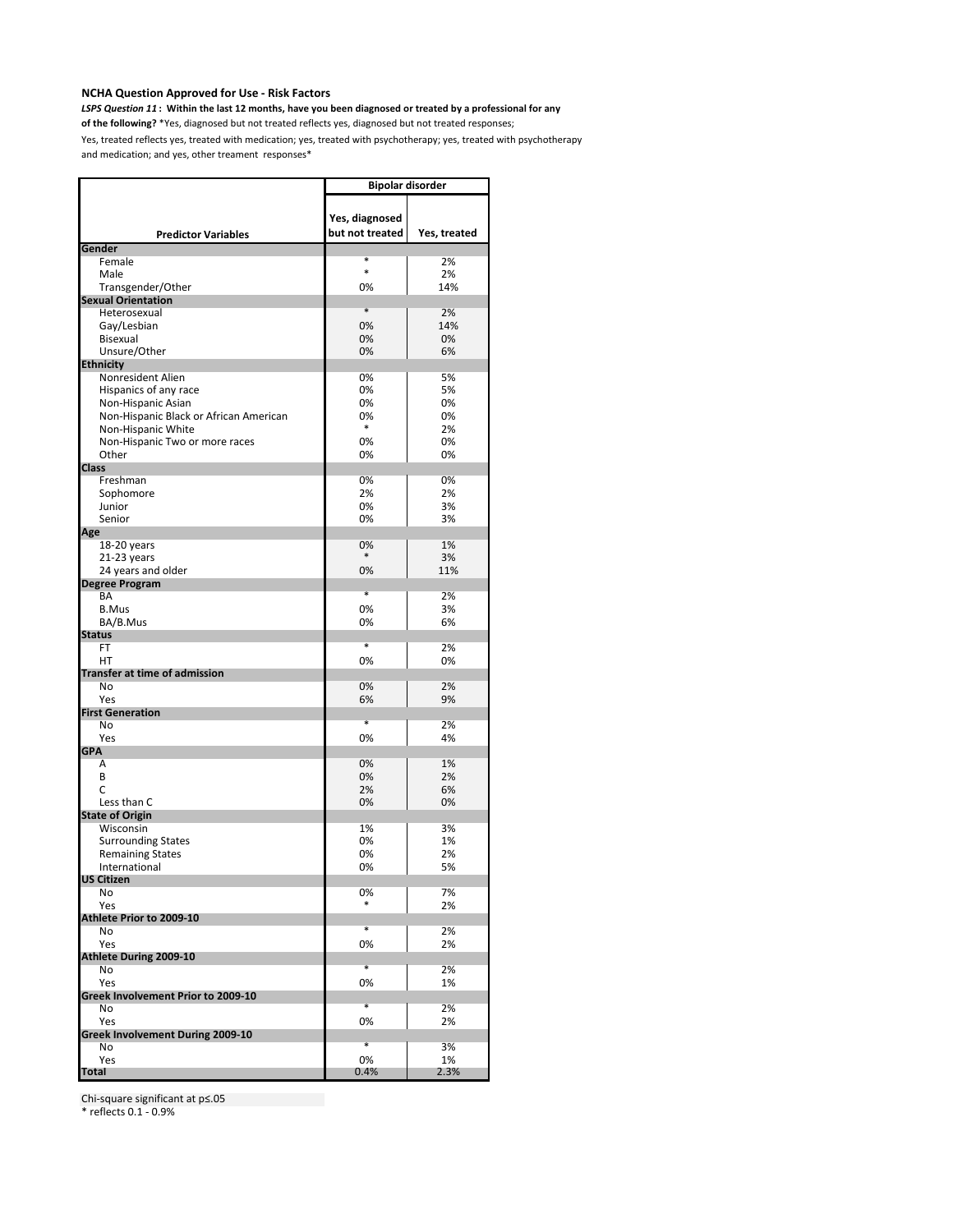*LSPS Question 11* **: Within the last 12 months, have you been diagnosed or treated by a professional for any** 

**of the following?** \*Yes, diagnosed but not treated reflects yes, diagnosed but not treated responses;

Yes, treated reflects yes, treated with medication; yes, treated with psychotherapy; yes, treated with psychotherapy and medication; and yes, other treament responses\*

|                                        | <b>Bipolar disorder</b> |              |
|----------------------------------------|-------------------------|--------------|
|                                        |                         |              |
|                                        | Yes, diagnosed          |              |
|                                        |                         |              |
| <b>Predictor Variables</b>             | but not treated         | Yes, treated |
| Gender                                 | *                       |              |
| Female                                 | $\ast$                  | 2%           |
| Male                                   |                         | 2%           |
| Transgender/Other                      | 0%                      | 14%          |
| <b>Sexual Orientation</b>              |                         |              |
| Heterosexual                           | *                       | 2%           |
| Gay/Lesbian                            | 0%                      | 14%          |
| Bisexual                               | 0%                      | 0%           |
| Unsure/Other                           | 0%                      | 6%           |
| <b>Ethnicity</b>                       |                         |              |
| Nonresident Alien                      | 0%                      | 5%           |
| Hispanics of any race                  | 0%                      | 5%           |
| Non-Hispanic Asian                     | 0%                      | 0%           |
| Non-Hispanic Black or African American | 0%                      | 0%           |
| Non-Hispanic White                     | *                       | 2%           |
| Non-Hispanic Two or more races         | 0%                      | 0%           |
| Other                                  | 0%                      | 0%           |
| <b>Class</b>                           |                         |              |
| Freshman                               | 0%                      | 0%           |
| Sophomore                              | 2%                      | 2%           |
| Junior                                 | 0%                      | 3%           |
| Senior                                 | 0%                      | 3%           |
| Age                                    |                         |              |
| 18-20 years                            | 0%                      | 1%           |
| 21-23 years                            | *                       | 3%           |
| 24 years and older                     | 0%                      | 11%          |
| <b>Degree Program</b>                  |                         |              |
| BA                                     | *                       | 2%           |
| <b>B.Mus</b>                           | 0%                      | 3%           |
| BA/B.Mus                               | 0%                      | 6%           |
| <b>Status</b>                          |                         |              |
| FT                                     | *                       | 2%           |
| HT                                     | 0%                      | 0%           |
| <b>Transfer at time of admission</b>   |                         |              |
| No                                     | 0%                      | 2%           |
| Yes                                    | 6%                      | 9%           |
| <b>First Generation</b>                |                         |              |
| No                                     | $\ast$                  | 2%           |
| Yes                                    | 0%                      | 4%           |
| <b>GPA</b>                             |                         |              |
| Α                                      | 0%                      | 1%           |
| B                                      | 0%                      | 2%           |
| C                                      | 2%                      | 6%           |
| Less than C                            | 0%                      | 0%           |
| <b>State of Origin</b>                 |                         |              |
| Wisconsin                              | 1%                      | 3%           |
| <b>Surrounding States</b>              | 0%                      | 1%           |
| <b>Remaining States</b>                | 0%                      | 2%           |
| International                          | 0%                      | 5%           |
| <b>US Citizen</b>                      |                         |              |
| No                                     | 0%                      | 7%           |
| Yes                                    |                         | 2%           |
| Athlete Prior to 2009-10               |                         |              |
| No                                     | $\ast$                  | 2%           |
| Yes                                    | 0%                      | 2%           |
| Athlete During 2009-10                 |                         |              |
| No                                     | *                       | 2%           |
| Yes                                    | 0%                      | 1%           |
| Greek Involvement Prior to 2009-10     |                         |              |
| No                                     | *                       | 2%           |
| Yes                                    | 0%                      | 2%           |
| Greek Involvement During 2009-10       |                         |              |
| No                                     | *                       | 3%           |
| Yes                                    | 0%                      | 1%           |
| <b>Total</b>                           | 0.4%                    | 2.3%         |

Chi-square significant at p≤.05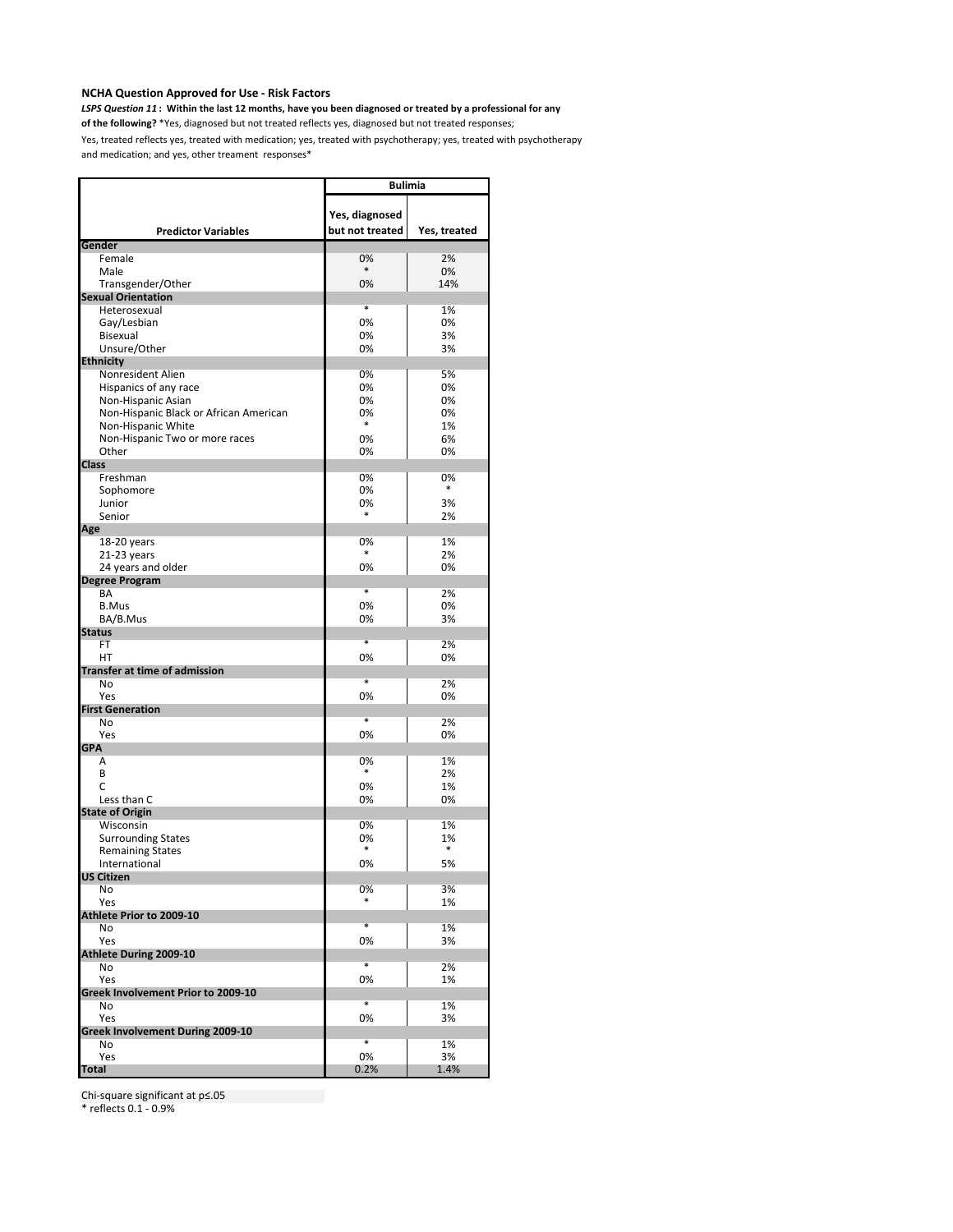*LSPS Question 11* **: Within the last 12 months, have you been diagnosed or treated by a professional for any** 

**of the following?** \*Yes, diagnosed but not treated reflects yes, diagnosed but not treated responses;

Yes, treated reflects yes, treated with medication; yes, treated with psychotherapy; yes, treated with psychotherapy and medication; and yes, other treament responses\*

|                                            | <b>Bulimia</b>    |              |
|--------------------------------------------|-------------------|--------------|
|                                            |                   |              |
|                                            | Yes, diagnosed    |              |
| <b>Predictor Variables</b>                 | but not treated   | Yes, treated |
| Gender                                     |                   |              |
| Female                                     | 0%<br>$\ast$      | 2%<br>0%     |
| Male<br>Transgender/Other                  | 0%                | 14%          |
| <b>Sexual Orientation</b>                  |                   |              |
| Heterosexual                               | *                 | 1%           |
| Gay/Lesbian                                | 0%                | 0%           |
| Bisexual                                   | 0%                | 3%           |
| Unsure/Other                               | 0%                | 3%           |
| <b>Ethnicity</b>                           |                   |              |
| Nonresident Alien                          | 0%                | 5%           |
| Hispanics of any race                      | 0%                | 0%           |
| Non-Hispanic Asian                         | 0%                | 0%           |
| Non-Hispanic Black or African American     | 0%<br>$\ast$      | 0%           |
| Non-Hispanic White                         |                   | 1%           |
| Non-Hispanic Two or more races             | 0%                | 6%           |
| Other                                      | 0%                | 0%           |
| <b>Class</b><br>Freshman                   | 0%                | 0%           |
| Sophomore                                  | 0%                | $\ast$       |
| Junior                                     | 0%                | 3%           |
| Senior                                     | *                 | 2%           |
| Age                                        |                   |              |
| 18-20 years                                | 0%                | 1%           |
| 21-23 years                                | *                 | 2%           |
| 24 years and older                         | 0%                | 0%           |
| <b>Degree Program</b>                      |                   |              |
| BA                                         | *                 | 2%           |
| <b>B.Mus</b>                               | 0%                | 0%           |
| BA/B.Mus                                   | 0%                | 3%           |
| <b>Status</b>                              | $\ast$            |              |
| <b>FT</b>                                  |                   | 2%           |
| HT                                         | 0%                | 0%           |
| <b>Transfer at time of admission</b><br>No | $\overline{\ast}$ | 2%           |
| Yes                                        | 0%                | 0%           |
| <b>First Generation</b>                    |                   |              |
| <b>No</b>                                  | $\overline{\ast}$ | 2%           |
| Yes                                        | 0%                | 0%           |
| <b>GPA</b>                                 |                   |              |
| A                                          | 0%                | 1%           |
| B                                          | *                 | 2%           |
| C                                          | 0%                | 1%           |
| Less than C                                | 0%                | 0%           |
| <b>State of Origin</b>                     |                   |              |
| Wisconsin                                  | 0%                | 1%           |
| <b>Surrounding States</b>                  | 0%<br>*           | 1%<br>*      |
| <b>Remaining States</b><br>International   | 0%                | 5%           |
| US Citizen                                 |                   |              |
| No                                         | 0%                | 3%           |
| Yes                                        |                   | 1%           |
| Athlete Prior to 2009-10                   |                   |              |
| No                                         | $\ast$            | 1%           |
| Yes                                        | 0%                | 3%           |
| <b>Athlete During 2009-10</b>              |                   |              |
| No                                         | $\overline{\ast}$ | 2%           |
| Yes                                        | 0%                | 1%           |
| Greek Involvement Prior to 2009-10         |                   |              |
| No                                         | *                 | 1%           |
| Yes                                        | 0%                | 3%           |
| Greek Involvement During 2009-10           | $\ast$            |              |
| No                                         |                   | 1%           |
| Yes<br><b>Total</b>                        | 0%<br>0.2%        | 3%<br>1.4%   |
|                                            |                   |              |

Chi-square significant at p≤.05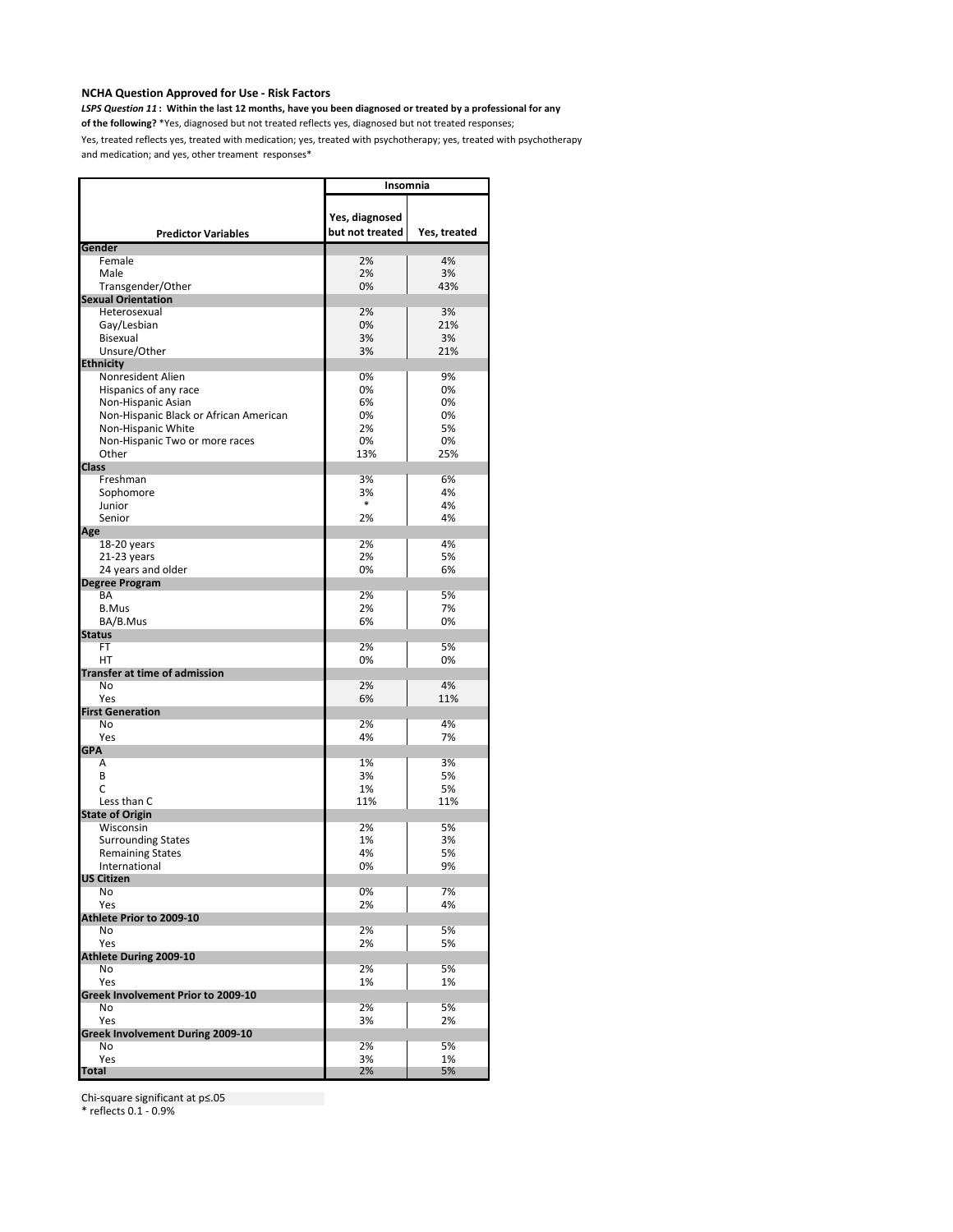*LSPS Question 11* **: Within the last 12 months, have you been diagnosed or treated by a professional for any** 

**of the following?** \*Yes, diagnosed but not treated reflects yes, diagnosed but not treated responses;

Yes, treated reflects yes, treated with medication; yes, treated with psychotherapy; yes, treated with psychotherapy and medication; and yes, other treament responses\*

|                                        | Insomnia        |              |
|----------------------------------------|-----------------|--------------|
|                                        |                 |              |
|                                        | Yes, diagnosed  |              |
| <b>Predictor Variables</b>             | but not treated | Yes, treated |
| Gender                                 |                 |              |
| Female                                 | 2%              | 4%           |
| Male                                   | 2%              | 3%           |
| Transgender/Other                      | 0%              | 43%          |
| <b>Sexual Orientation</b>              |                 |              |
| Heterosexual                           | 2%              | 3%           |
| Gay/Lesbian                            | 0%              | 21%          |
| Bisexual                               | 3%              | 3%           |
| Unsure/Other                           | 3%              | 21%          |
| <b>Ethnicity</b>                       |                 |              |
| Nonresident Alien                      | 0%              | 9%           |
| Hispanics of any race                  | 0%              | 0%           |
| Non-Hispanic Asian                     | 6%              | 0%           |
| Non-Hispanic Black or African American | 0%              | 0%           |
| Non-Hispanic White                     | 2%              | 5%           |
| Non-Hispanic Two or more races         | 0%              | 0%           |
| Other                                  | 13%             | 25%          |
| <b>Class</b>                           |                 |              |
| Freshman                               | 3%              | 6%           |
| Sophomore                              | 3%              | 4%           |
| Junior                                 | *               | 4%           |
| Senior                                 | 2%              | 4%           |
| Age                                    |                 |              |
| 18-20 years                            | 2%              | 4%           |
| 21-23 years                            | 2%              | 5%           |
| 24 years and older                     | 0%              | 6%           |
| <b>Degree Program</b>                  |                 |              |
| BA                                     | 2%              | 5%           |
| <b>B.Mus</b>                           | 2%              | 7%           |
| BA/B.Mus                               | 6%              | 0%           |
| <b>Status</b>                          |                 |              |
| FT                                     | 2%              | 5%           |
| HТ                                     | 0%              | 0%           |
| <b>Transfer at time of admission</b>   |                 |              |
| No                                     | 2%              | 4%           |
| Yes                                    | 6%              | 11%          |
| <b>First Generation</b>                |                 |              |
| No                                     | 2%              | 4%           |
| Yes                                    | 4%              | 7%           |
| <b>GPA</b>                             |                 |              |
| Α                                      | 1%              | 3%           |
| B                                      | 3%              | 5%<br>5%     |
| C<br>Less than C                       | 1%<br>11%       |              |
| <b>State of Origin</b>                 |                 | 11%          |
| Wisconsin                              | 2%              | 5%           |
| <b>Surrounding States</b>              | 1%              | 3%           |
| <b>Remaining States</b>                | 4%              | 5%           |
| International                          | 0%              | 9%           |
| US Citizen                             |                 |              |
| No                                     | 0%              | 7%           |
| Yes                                    | 2%              | 4%           |
| Athlete Prior to 2009-10               |                 |              |
| No                                     | 2%              | 5%           |
| Yes                                    | 2%              | 5%           |
| Athlete During 2009-10                 |                 |              |
| No                                     | 2%              | 5%           |
| Yes                                    | 1%              | 1%           |
| Greek Involvement Prior to 2009-10     |                 |              |
| No                                     | 2%              | 5%           |
| Yes                                    | 3%              | 2%           |
| Greek Involvement During 2009-10       |                 |              |
| No                                     | 2%              | 5%           |
| Yes                                    | 3%              | 1%           |
| <b>Total</b>                           | 2%              | 5%           |

Chi-square significant at p≤.05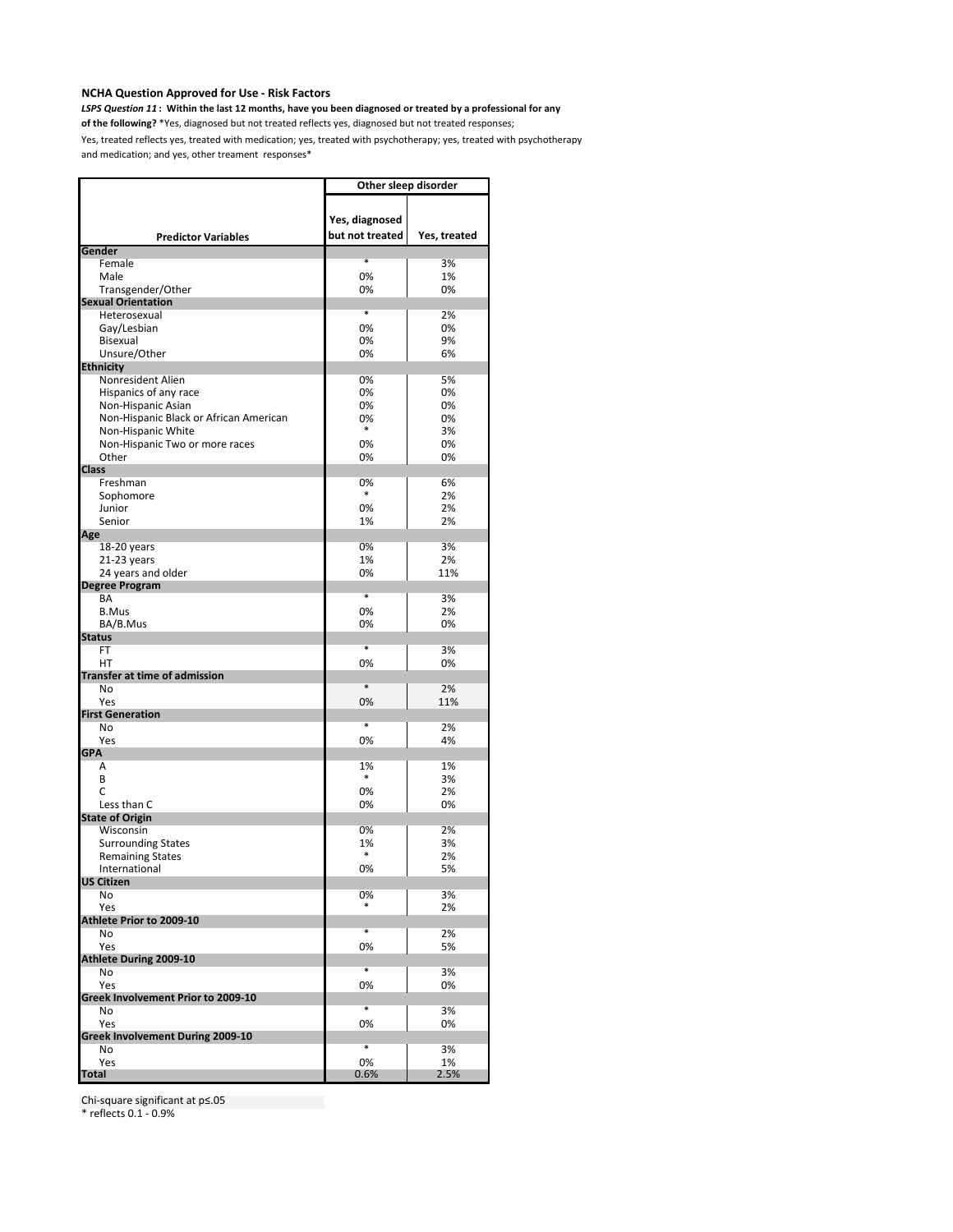*LSPS Question 11* **: Within the last 12 months, have you been diagnosed or treated by a professional for any** 

**of the following?** \*Yes, diagnosed but not treated reflects yes, diagnosed but not treated responses;

Yes, treated reflects yes, treated with medication; yes, treated with psychotherapy; yes, treated with psychotherapy and medication; and yes, other treament responses\*

|                                          | Other sleep disorder |              |
|------------------------------------------|----------------------|--------------|
|                                          | Yes, diagnosed       |              |
| <b>Predictor Variables</b><br>Gender     | but not treated      | Yes, treated |
| Female                                   | *                    | 3%           |
| Male                                     | 0%                   | 1%           |
| Transgender/Other                        | 0%                   | 0%           |
| <b>Sexual Orientation</b>                |                      |              |
| Heterosexual                             | *                    | 2%           |
| Gay/Lesbian                              | 0%                   | 0%           |
| Bisexual                                 | 0%                   | 9%           |
| Unsure/Other                             | 0%                   | 6%           |
| <b>Ethnicity</b><br>Nonresident Alien    | 0%                   | 5%           |
| Hispanics of any race                    | 0%                   | 0%           |
| Non-Hispanic Asian                       | 0%                   | 0%           |
| Non-Hispanic Black or African American   | 0%                   | 0%           |
| Non-Hispanic White                       | $\ast$               | 3%           |
| Non-Hispanic Two or more races           | 0%                   | 0%           |
| Other                                    | 0%                   | 0%           |
| <b>Class</b>                             |                      |              |
| Freshman                                 | 0%<br>*              | 6%           |
| Sophomore<br>Junior                      | 0%                   | 2%<br>2%     |
| Senior                                   | 1%                   | 2%           |
| Age                                      |                      |              |
| 18-20 years                              | 0%                   | 3%           |
| 21-23 years                              | 1%                   | 2%           |
| 24 years and older                       | 0%                   | 11%          |
| <b>Degree Program</b>                    |                      |              |
| BA                                       | *                    | 3%           |
| <b>B.Mus</b>                             | 0%                   | 2%           |
| BA/B.Mus<br><b>Status</b>                | 0%                   | 0%           |
| FT                                       | *                    | 3%           |
| HT                                       | 0%                   | 0%           |
| <b>Transfer at time of admission</b>     |                      |              |
| No                                       | $\ast$               | 2%           |
| Yes                                      | 0%                   | 11%          |
| <b>First Generation</b>                  | *                    |              |
| No<br>Yes                                | 0%                   | 2%<br>4%     |
| <b>GPA</b>                               |                      |              |
| Α                                        | 1%                   | 1%           |
| B                                        | $\ast$               | 3%           |
| C                                        | 0%                   | 2%           |
| Less than C                              | 0%                   | 0%           |
| <b>State of Origin</b>                   |                      |              |
| Wisconsin                                | 0%                   | 2%           |
| <b>Surrounding States</b>                | 1%<br>*              | 3%           |
| <b>Remaining States</b><br>International | 0%                   | 2%<br>5%     |
| <b>US Citizen</b>                        |                      |              |
| No                                       | 0%                   | 3%           |
| Yes                                      | *                    | 2%           |
| Athlete Prior to 2009-10                 |                      |              |
| No                                       | *                    | 2%           |
| Yes                                      | 0%                   | 5%           |
| <b>Athlete During 2009-10</b><br>No      | *                    | 3%           |
| Yes                                      | 0%                   | 0%           |
| Greek Involvement Prior to 2009-10       |                      |              |
| No                                       | *                    | 3%           |
| Yes                                      | 0%                   | 0%           |
| Greek Involvement During 2009-10         |                      |              |
| No                                       | $\overline{\ast}$    | 3%           |
| Yes                                      | 0%                   | 1%           |
| <b>Total</b>                             | 0.6%                 | 2.5%         |

Chi-square significant at p≤.05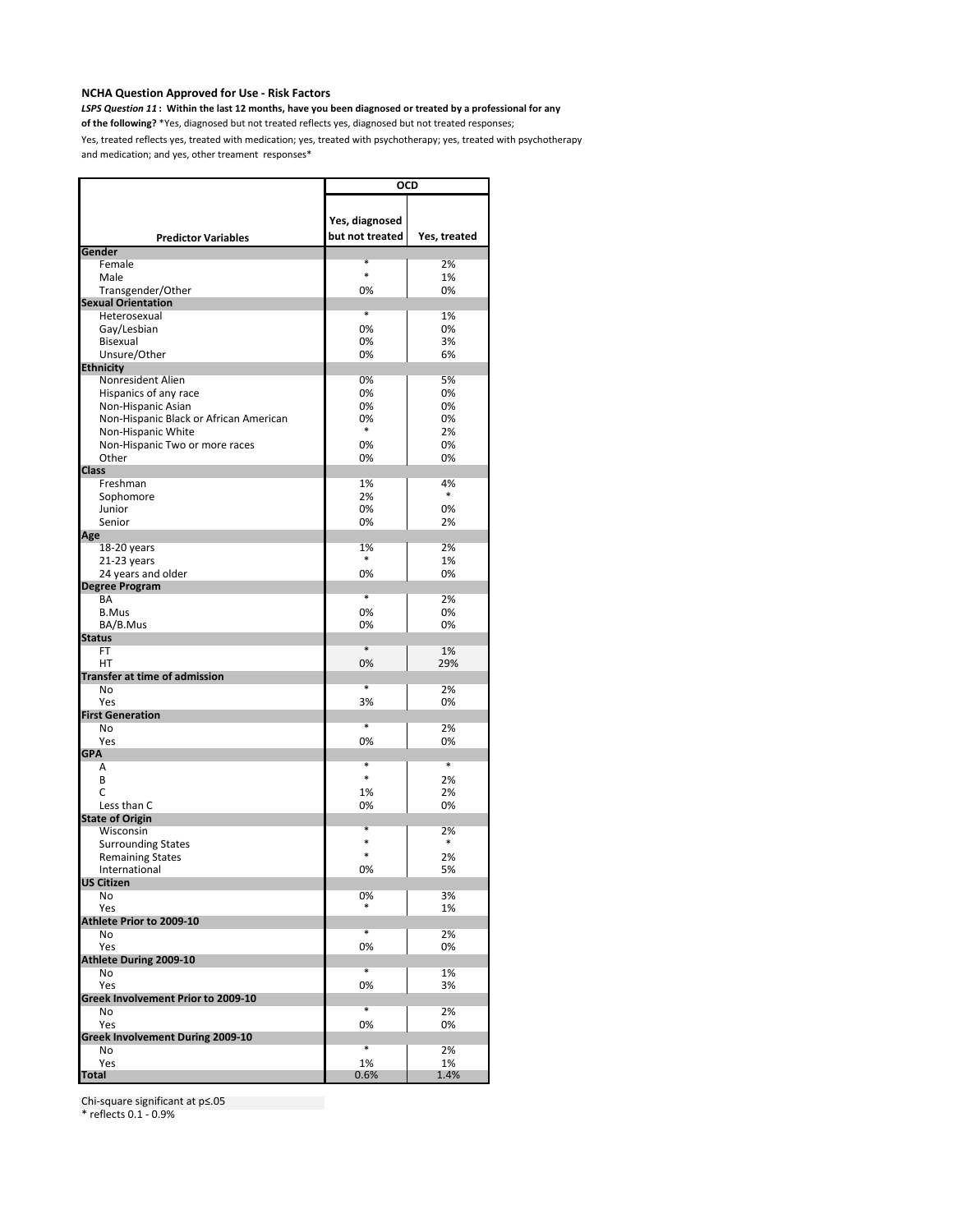*LSPS Question 11* **: Within the last 12 months, have you been diagnosed or treated by a professional for any** 

**of the following?** \*Yes, diagnosed but not treated reflects yes, diagnosed but not treated responses;

Yes, treated reflects yes, treated with medication; yes, treated with psychotherapy; yes, treated with psychotherapy and medication; and yes, other treament responses\*

|                                           | <b>OCD</b>                        |                   |
|-------------------------------------------|-----------------------------------|-------------------|
| <b>Predictor Variables</b>                | Yes, diagnosed<br>but not treated | Yes, treated      |
| Gender                                    |                                   |                   |
| Female                                    | *<br>$\ast$                       | 2%                |
| Male                                      |                                   | 1%                |
| Transgender/Other                         | 0%                                | 0%                |
| <b>Sexual Orientation</b><br>Heterosexual | *                                 | 1%                |
| Gay/Lesbian                               | 0%                                | 0%                |
| Bisexual                                  | 0%                                | 3%                |
| Unsure/Other                              | 0%                                | 6%                |
| <b>Ethnicity</b>                          |                                   |                   |
| Nonresident Alien                         | 0%                                | 5%                |
| Hispanics of any race                     | 0%                                | 0%                |
| Non-Hispanic Asian                        | 0%                                | 0%                |
| Non-Hispanic Black or African American    | 0%                                | 0%                |
| Non-Hispanic White                        | $\ast$                            | 2%                |
| Non-Hispanic Two or more races            | 0%                                | 0%                |
| Other                                     | 0%                                | 0%                |
| <b>Class</b>                              |                                   |                   |
| Freshman                                  | 1%                                | 4%                |
| Sophomore                                 | 2%                                | *                 |
| Junior                                    | 0%                                | 0%                |
| Senior                                    | 0%                                | 2%                |
| Age                                       |                                   |                   |
| 18-20 years                               | 1%                                | 2%                |
| 21-23 years                               | *                                 | 1%                |
| 24 years and older                        | 0%                                | 0%                |
| <b>Degree Program</b>                     |                                   |                   |
| BA                                        | $\overline{\ast}$                 | 2%                |
| <b>B.Mus</b>                              | 0%                                | 0%                |
| BA/B.Mus                                  | 0%                                | 0%                |
| <b>Status</b>                             | $\ast$                            |                   |
| FT<br>HT                                  | 0%                                | 1%<br>29%         |
| <b>Transfer at time of admission</b>      |                                   |                   |
| No                                        | *                                 | 2%                |
| Yes                                       | 3%                                | 0%                |
| <b>First Generation</b>                   |                                   |                   |
| No                                        | *                                 | 2%                |
| Yes                                       | 0%                                | 0%                |
| <b>GPA</b>                                |                                   |                   |
| Α                                         | *                                 | $\overline{\ast}$ |
| B                                         | $\ast$                            | 2%                |
| C                                         | 1%                                | 2%                |
| Less than C                               | 0%                                | 0%                |
| <b>State of Origin</b>                    |                                   |                   |
| Wisconsin                                 | $\ast$                            | 2%                |
| <b>Surrounding States</b>                 | $\ast$                            | $\ast$            |
| <b>Remaining States</b>                   | $\ast$                            | 2%                |
| International                             | 0%                                | 5%                |
| <b>US Citizen</b>                         |                                   |                   |
| No                                        | 0%                                | 3%                |
| Yes<br>Athlete Prior to 2009-10           |                                   | 1%                |
| No                                        | *                                 | 2%                |
| Yes                                       | 0%                                | 0%                |
| <b>Athlete During 2009-10</b>             |                                   |                   |
| No                                        | *                                 | 1%                |
| Yes                                       | 0%                                | 3%                |
| Greek Involvement Prior to 2009-10        |                                   |                   |
| No                                        | $\overline{\ast}$                 | 2%                |
| Yes                                       | 0%                                | 0%                |
| Greek Involvement During 2009-10          |                                   |                   |
| No                                        | $\overline{\ast}$                 | 2%                |
| Yes                                       | 1%                                | 1%                |
| <b>Total</b>                              | 0.6%                              | 1.4%              |

Chi-square significant at p≤.05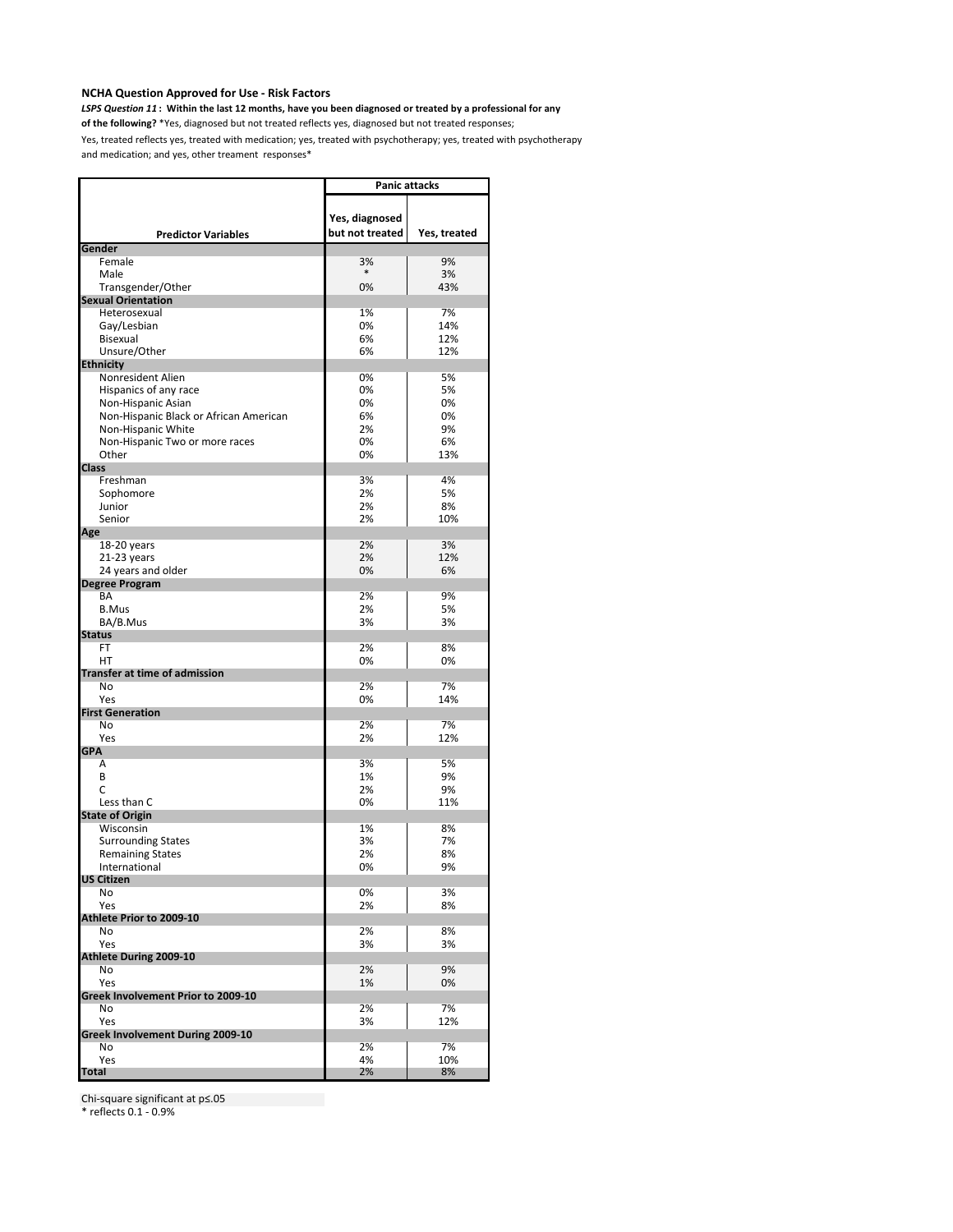*LSPS Question 11* **: Within the last 12 months, have you been diagnosed or treated by a professional for any** 

**of the following?** \*Yes, diagnosed but not treated reflects yes, diagnosed but not treated responses;

Yes, treated reflects yes, treated with medication; yes, treated with psychotherapy; yes, treated with psychotherapy and medication; and yes, other treament responses\*

|                                        | <b>Panic attacks</b> |              |
|----------------------------------------|----------------------|--------------|
|                                        |                      |              |
|                                        | Yes, diagnosed       |              |
| <b>Predictor Variables</b>             | but not treated      | Yes, treated |
| Gender                                 |                      |              |
| Female                                 | 3%                   | 9%           |
| Male                                   | $\ast$               | 3%           |
| Transgender/Other                      | 0%                   | 43%          |
| <b>Sexual Orientation</b>              |                      |              |
| Heterosexual                           | 1%                   | 7%           |
| Gay/Lesbian                            | 0%                   | 14%          |
| Bisexual                               | 6%                   | 12%          |
| Unsure/Other                           | 6%                   | 12%          |
| <b>Ethnicity</b>                       |                      |              |
| Nonresident Alien                      | 0%                   | 5%           |
| Hispanics of any race                  | 0%                   | 5%           |
| Non-Hispanic Asian                     | 0%                   | 0%           |
| Non-Hispanic Black or African American | 6%                   | 0%           |
| Non-Hispanic White                     | 2%                   | 9%           |
| Non-Hispanic Two or more races         | 0%                   | 6%           |
| Other                                  | 0%                   | 13%          |
| <b>Class</b>                           |                      |              |
| Freshman                               | 3%                   | 4%           |
| Sophomore                              | 2%                   | 5%           |
| Junior                                 | 2%                   | 8%           |
| Senior                                 | 2%                   | 10%          |
| Age                                    |                      |              |
| 18-20 years                            | 2%                   | 3%           |
| 21-23 years                            | 2%                   | 12%          |
| 24 years and older                     | 0%                   | 6%           |
| <b>Degree Program</b>                  | 2%                   |              |
| BA                                     |                      | 9%           |
| <b>B.Mus</b>                           | 2%<br>3%             | 5%<br>3%     |
| BA/B.Mus<br><b>Status</b>              |                      |              |
| FT                                     | 2%                   | 8%           |
| HT                                     | 0%                   | 0%           |
| <b>Transfer at time of admission</b>   |                      |              |
| No                                     | 2%                   | 7%           |
| Yes                                    | 0%                   | 14%          |
| <b>First Generation</b>                |                      |              |
| No                                     | 2%                   | 7%           |
| Yes                                    | 2%                   | 12%          |
| <b>GPA</b>                             |                      |              |
| Α                                      | 3%                   | 5%           |
| B                                      | 1%                   | 9%           |
| C                                      | 2%                   | 9%           |
| Less than C                            | 0%                   | 11%          |
| <b>State of Origin</b>                 |                      |              |
| Wisconsin                              | 1%                   | 8%           |
| <b>Surrounding States</b>              | 3%                   | 7%           |
| <b>Remaining States</b>                | 2%                   | 8%           |
| International                          | 0%                   | 9%           |
| <b>US Citizen</b>                      |                      |              |
| No                                     | 0%                   | 3%           |
| Yes                                    | 2%                   | 8%           |
| Athlete Prior to 2009-10               |                      |              |
| No                                     | 2%<br>3%             | 8%<br>3%     |
| Yes<br>Athlete During 2009-10          |                      |              |
| No                                     | 2%                   | 9%           |
| Yes                                    | 1%                   | 0%           |
| Greek Involvement Prior to 2009-10     |                      |              |
| No                                     | 2%                   | 7%           |
| Yes                                    | 3%                   | 12%          |
| Greek Involvement During 2009-10       |                      |              |
| No                                     | 2%                   | 7%           |
| Yes                                    | 4%                   | 10%          |
| <b>Total</b>                           | 2%                   | 8%           |

Chi-square significant at p≤.05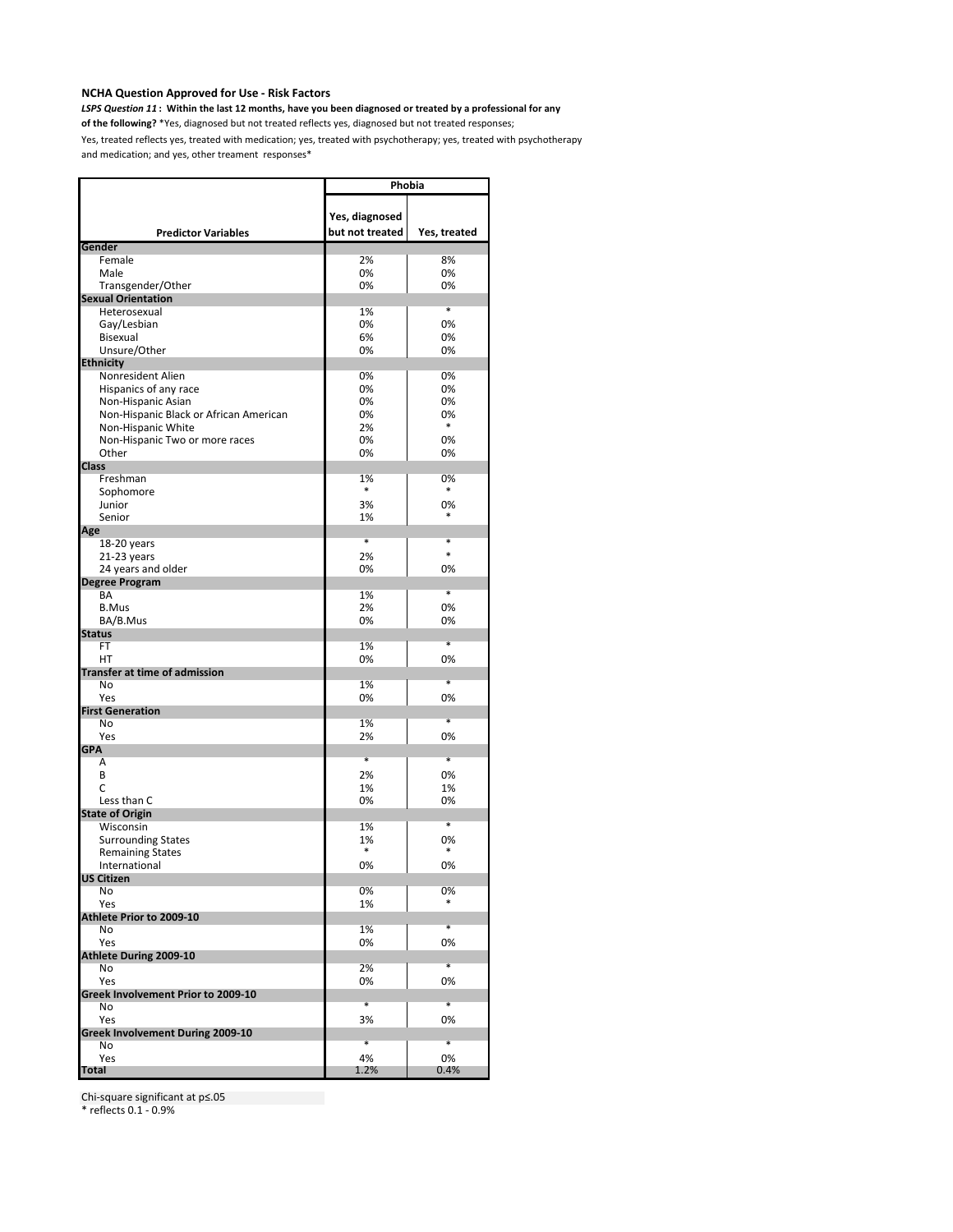*LSPS Question 11* **: Within the last 12 months, have you been diagnosed or treated by a professional for any** 

**of the following?** \*Yes, diagnosed but not treated reflects yes, diagnosed but not treated responses;

Yes, treated reflects yes, treated with medication; yes, treated with psychotherapy; yes, treated with psychotherapy and medication; and yes, other treament responses\*

|                                        | Phobia                            |                   |
|----------------------------------------|-----------------------------------|-------------------|
| <b>Predictor Variables</b>             | Yes, diagnosed<br>but not treated | Yes, treated      |
| Gender                                 |                                   |                   |
| Female                                 | 2%                                | 8%                |
| Male                                   | 0%                                | 0%                |
| Transgender/Other                      | 0%                                | 0%                |
| <b>Sexual Orientation</b>              |                                   | $\ast$            |
| Heterosexual                           | 1%                                |                   |
| Gay/Lesbian                            | 0%<br>6%                          | 0%                |
| Bisexual<br>Unsure/Other               | 0%                                | 0%<br>0%          |
| <b>Ethnicity</b>                       |                                   |                   |
| Nonresident Alien                      | 0%                                | 0%                |
| Hispanics of any race                  | 0%                                | 0%                |
| Non-Hispanic Asian                     | 0%                                | 0%                |
| Non-Hispanic Black or African American | 0%                                | 0%                |
| Non-Hispanic White                     | 2%                                | $\ast$            |
| Non-Hispanic Two or more races         | 0%                                | 0%                |
| Other                                  | 0%                                | 0%                |
| <b>Class</b>                           |                                   |                   |
| Freshman                               | 1%                                | 0%                |
| Sophomore                              | *                                 | $\ast$            |
| Junior                                 | 3%                                | 0%                |
| Senior                                 | 1%                                | *                 |
| Age                                    |                                   |                   |
| 18-20 years                            | ×                                 | *                 |
| 21-23 years                            | 2%                                | $\ast$            |
| 24 years and older                     | 0%                                | 0%                |
| <b>Degree Program</b>                  |                                   |                   |
| BA                                     | 1%                                | *                 |
| <b>B.Mus</b>                           | 2%                                | 0%                |
| BA/B.Mus                               | 0%                                | 0%                |
| <b>Status</b>                          |                                   |                   |
| FT                                     | 1%                                | $\ast$            |
| HT                                     | 0%                                | 0%                |
| <b>Transfer at time of admission</b>   |                                   |                   |
| No                                     | 1%                                | $\overline{\ast}$ |
| Yes                                    | 0%                                | 0%                |
| <b>First Generation</b>                |                                   | $\ast$            |
| No<br>Yes                              | 1%<br>2%                          | 0%                |
| <b>GPA</b>                             |                                   |                   |
| A                                      | *                                 | $\overline{\ast}$ |
| B                                      | 2%                                | 0%                |
| C                                      | 1%                                | 1%                |
| Less than C                            | 0%                                | 0%                |
| <b>State of Origin</b>                 |                                   |                   |
| Wisconsin                              | 1%                                | $\ast$            |
| <b>Surrounding States</b>              | 1%                                | 0%                |
| <b>Remaining States</b>                | *                                 | $\ast$            |
| International                          | 0%                                | 0%                |
| US Citizen                             |                                   |                   |
| No                                     | 0%                                | 0%                |
| Yes                                    | 1%                                |                   |
| Athlete Prior to 2009-10               |                                   |                   |
| No                                     | 1%                                | $\ast$            |
| Yes                                    | 0%                                | 0%                |
| Athlete During 2009-10                 |                                   |                   |
| No                                     | 2%                                | $\ast$            |
| Yes                                    | 0%                                | 0%                |
| Greek Involvement Prior to 2009-10     |                                   |                   |
| No                                     | $\ast$                            | $\ast$            |
| Yes                                    | 3%                                | 0%                |
| Greek Involvement During 2009-10       | $\ast$                            | $\ast$            |
| No                                     |                                   |                   |
| Yes                                    | 4%                                | 0%                |
| <b>Total</b>                           | 1.2%                              | 0.4%              |

Chi-square significant at p≤.05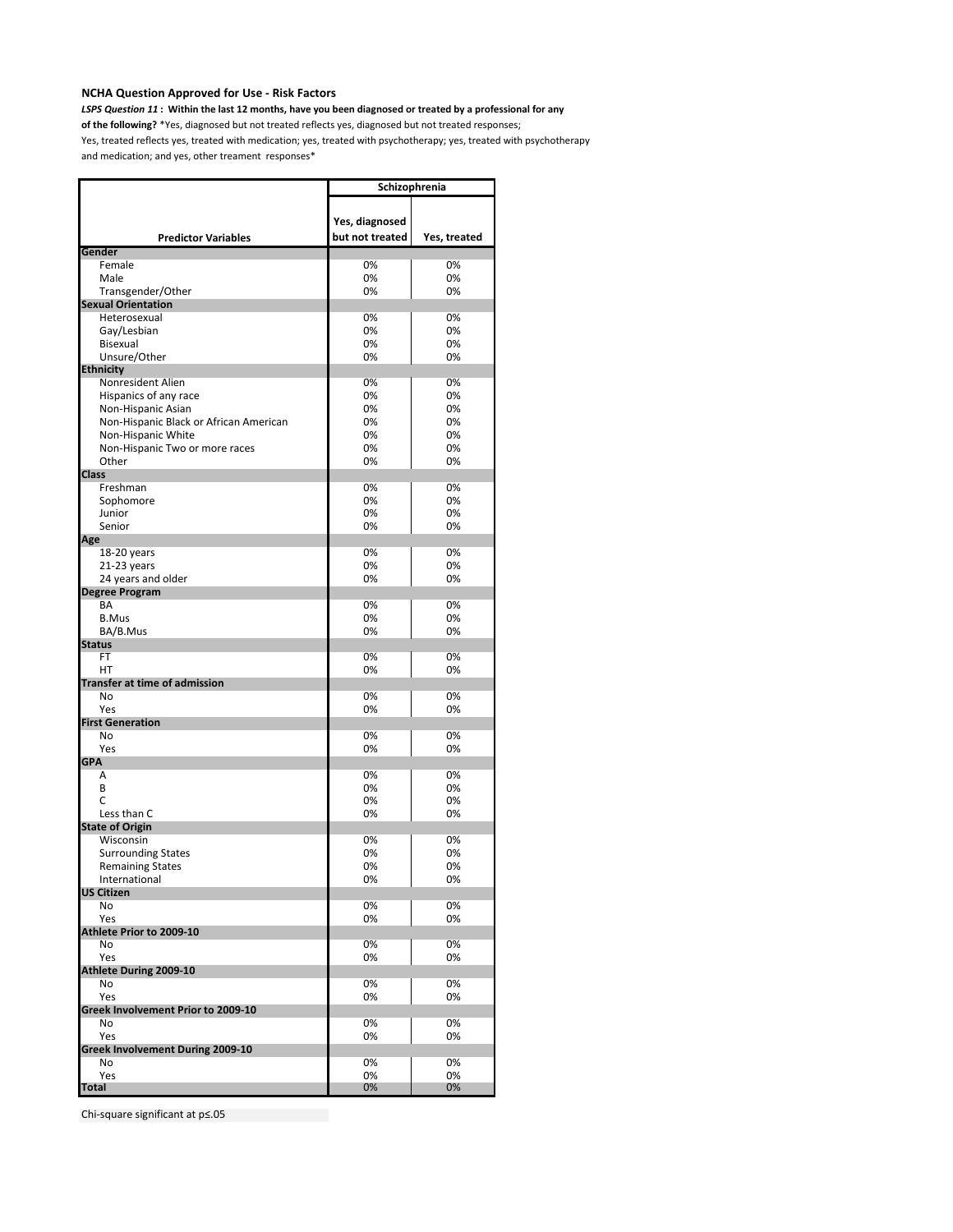*LSPS Question 11* **: Within the last 12 months, have you been diagnosed or treated by a professional for any** 

**of the following?** \*Yes, diagnosed but not treated reflects yes, diagnosed but not treated responses;

Yes, treated reflects yes, treated with medication; yes, treated with psychotherapy; yes, treated with psychotherapy and medication; and yes, other treament responses\*

|                                                      | Schizophrenia                     |              |
|------------------------------------------------------|-----------------------------------|--------------|
| <b>Predictor Variables</b>                           | Yes, diagnosed<br>but not treated | Yes, treated |
| Gender                                               |                                   |              |
| Female<br>Male                                       | 0%                                | 0%           |
| Transgender/Other                                    | 0%<br>0%                          | 0%<br>0%     |
| <b>Sexual Orientation</b>                            |                                   |              |
| Heterosexual                                         | 0%                                | 0%           |
| Gay/Lesbian                                          | 0%                                | 0%           |
| Bisexual                                             | 0%                                | 0%           |
| Unsure/Other                                         | 0%                                | 0%           |
| <b>Ethnicity</b>                                     |                                   |              |
| Nonresident Alien                                    | 0%                                | 0%           |
| Hispanics of any race                                | 0%                                | 0%           |
| Non-Hispanic Asian                                   | 0%                                | 0%           |
| Non-Hispanic Black or African American               | 0%<br>0%                          | 0%<br>0%     |
| Non-Hispanic White<br>Non-Hispanic Two or more races | 0%                                | 0%           |
| Other                                                | 0%                                | 0%           |
| <b>Class</b>                                         |                                   |              |
| Freshman                                             | 0%                                | 0%           |
| Sophomore                                            | 0%                                | 0%           |
| Junior                                               | 0%                                | 0%           |
| Senior                                               | 0%                                | 0%           |
| Age                                                  |                                   |              |
| 18-20 years                                          | 0%                                | 0%           |
| 21-23 years                                          | 0%                                | 0%           |
| 24 years and older                                   | 0%                                | 0%           |
| <b>Degree Program</b><br>BA                          | 0%                                | 0%           |
| <b>B.Mus</b>                                         | 0%                                | 0%           |
| BA/B.Mus                                             | 0%                                | 0%           |
| <b>Status</b>                                        |                                   |              |
| <b>FT</b>                                            | 0%                                | 0%           |
| HT                                                   | 0%                                | 0%           |
| <b>Transfer at time of admission</b>                 |                                   |              |
| N <sub>o</sub>                                       | 0%                                | 0%           |
| Yes<br><b>First Generation</b>                       | 0%                                | 0%           |
| No                                                   | 0%                                | 0%           |
| Yes                                                  | 0%                                | 0%           |
| <b>GPA</b>                                           |                                   |              |
| A                                                    | 0%                                | 0%           |
| B                                                    | 0%                                | 0%           |
| C                                                    | 0%                                | 0%           |
| Less than C                                          | 0%                                | 0%           |
| <b>State of Origin</b>                               |                                   |              |
| Wisconsin<br><b>Surrounding States</b>               | 0%<br>0%                          | 0%<br>0%     |
| <b>Remaining States</b>                              | 0%                                | 0%           |
| International                                        | 0%                                | 0%           |
| <b>US Citizen</b>                                    |                                   |              |
| No                                                   | 0%                                | 0%           |
| Yes                                                  | 0%                                | 0%           |
| Athlete Prior to 2009-10                             |                                   |              |
| No                                                   | 0%                                | 0%           |
| Yes                                                  | 0%                                | 0%           |
| Athlete During 2009-10                               |                                   |              |
| No<br>Yes                                            | 0%<br>0%                          | 0%<br>0%     |
| Greek Involvement Prior to 2009-10                   |                                   |              |
| No                                                   | 0%                                | 0%           |
| Yes                                                  | 0%                                | 0%           |
| Greek Involvement During 2009-10                     |                                   |              |
| No                                                   | 0%                                | 0%           |
| Yes                                                  | 0%                                | 0%           |
| Total                                                | 0%                                | 0%           |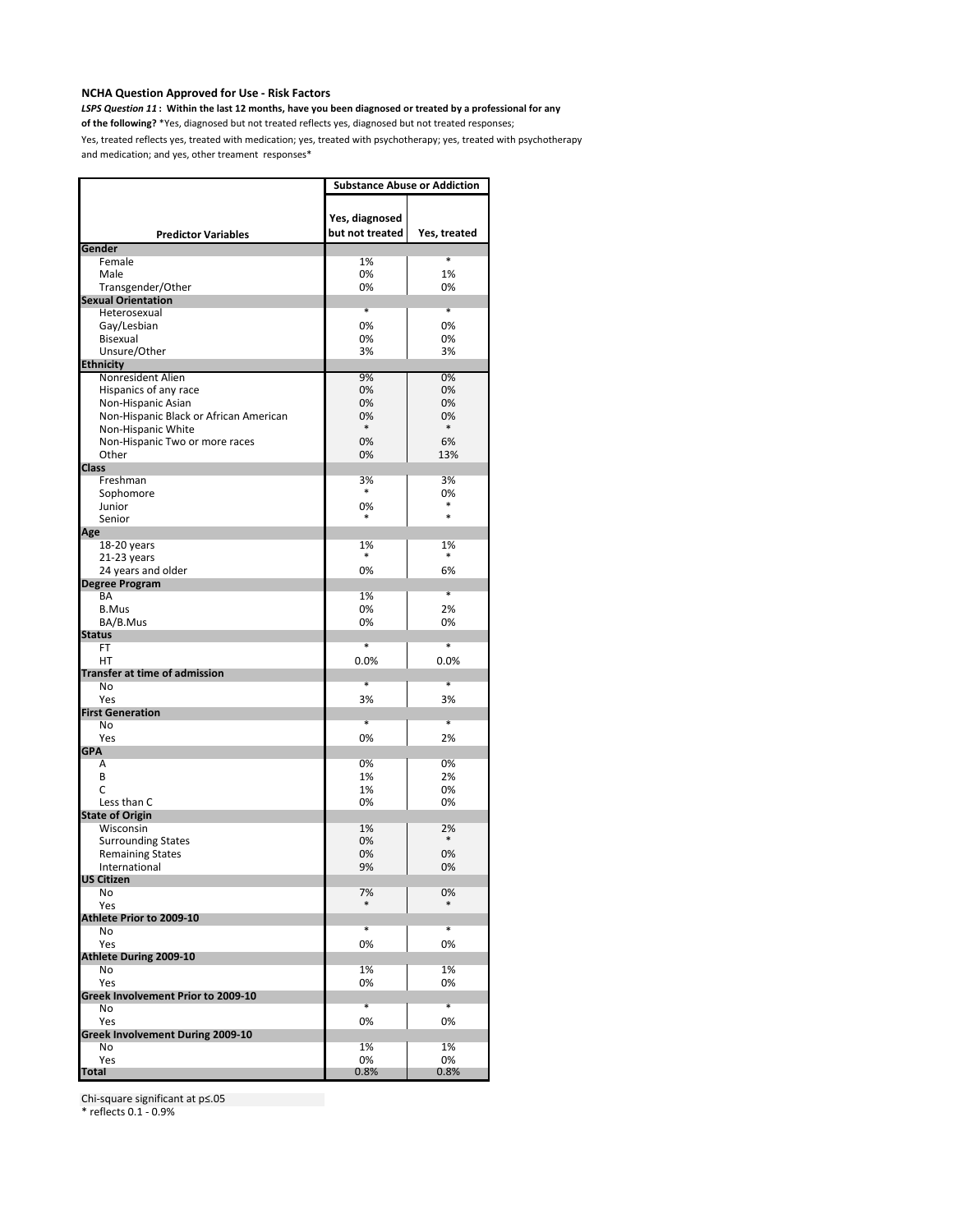*LSPS Question 11* **: Within the last 12 months, have you been diagnosed or treated by a professional for any** 

**of the following?** \*Yes, diagnosed but not treated reflects yes, diagnosed but not treated responses;

Yes, treated reflects yes, treated with medication; yes, treated with psychotherapy; yes, treated with psychotherapy and medication; and yes, other treament responses\*

|                                                              | <b>Substance Abuse or Addiction</b> |                   |  |
|--------------------------------------------------------------|-------------------------------------|-------------------|--|
|                                                              | Yes, diagnosed                      |                   |  |
| <b>Predictor Variables</b>                                   | but not treated                     | Yes, treated      |  |
| Gender<br>Female                                             | 1%                                  | *                 |  |
| Male                                                         | 0%                                  | 1%                |  |
| Transgender/Other                                            | 0%                                  | 0%                |  |
| <b>Sexual Orientation</b>                                    |                                     |                   |  |
| Heterosexual                                                 | *                                   | *                 |  |
| Gay/Lesbian                                                  | 0%<br>0%                            | 0%                |  |
| Bisexual<br>Unsure/Other                                     | 3%                                  | 0%<br>3%          |  |
| <b>Ethnicity</b>                                             |                                     |                   |  |
| Nonresident Alien                                            | 9%                                  | 0%                |  |
| Hispanics of any race                                        | 0%                                  | 0%                |  |
| Non-Hispanic Asian                                           | 0%                                  | 0%                |  |
| Non-Hispanic Black or African American<br>Non-Hispanic White | 0%<br>*                             | 0%<br>$\ast$      |  |
| Non-Hispanic Two or more races                               | 0%                                  | 6%                |  |
| Other                                                        | 0%                                  | 13%               |  |
| <b>Class</b>                                                 |                                     |                   |  |
| Freshman                                                     | 3%                                  | 3%                |  |
| Sophomore                                                    | $\ast$                              | 0%<br>*           |  |
| Junior<br>Senior                                             | 0%<br>*                             | $\ast$            |  |
| Age                                                          |                                     |                   |  |
| 18-20 years                                                  | 1%                                  | 1%                |  |
| 21-23 years                                                  | *                                   | *                 |  |
| 24 years and older                                           | 0%                                  | 6%                |  |
| <b>Degree Program</b>                                        |                                     | $\overline{\ast}$ |  |
| BA<br><b>B.Mus</b>                                           | 1%<br>0%                            | 2%                |  |
| BA/B.Mus                                                     | 0%                                  | 0%                |  |
| <b>Status</b>                                                |                                     |                   |  |
| FT                                                           | *                                   | $\ast$            |  |
| HT                                                           | 0.0%                                | 0.0%              |  |
| <b>Transfer at time of admission</b><br>No                   | *                                   | *                 |  |
| Yes                                                          | 3%                                  | 3%                |  |
| <b>First Generation</b>                                      |                                     |                   |  |
| No                                                           | *                                   | $\ast$            |  |
| Yes                                                          | 0%                                  | 2%                |  |
| <b>GPA</b><br>Α                                              | 0%                                  | 0%                |  |
| B                                                            | 1%                                  | 2%                |  |
| C                                                            | 1%                                  | 0%                |  |
| Less than C                                                  | 0%                                  | 0%                |  |
| <b>State of Origin</b>                                       |                                     |                   |  |
| Wisconsin<br><b>Surrounding States</b>                       | 1%<br>0%                            | 2%<br>$\ast$      |  |
| <b>Remaining States</b>                                      | 0%                                  | 0%                |  |
| International                                                | 9%                                  | 0%                |  |
| <b>US Citizen</b>                                            |                                     |                   |  |
| No                                                           | 7%                                  | 0%                |  |
| Yes                                                          |                                     |                   |  |
| Athlete Prior to 2009-10<br>No                               | *                                   | $\overline{\ast}$ |  |
| Yes                                                          | 0%                                  | 0%                |  |
| Athlete During 2009-10                                       |                                     |                   |  |
| No                                                           | 1%                                  | 1%                |  |
| Yes                                                          | 0%                                  | 0%                |  |
| Greek Involvement Prior to 2009-10<br>No                     | *                                   | $\ast$            |  |
| Yes                                                          | 0%                                  | 0%                |  |
| Greek Involvement During 2009-10                             |                                     |                   |  |
| No                                                           | 1%                                  | 1%                |  |
| Yes                                                          | 0%                                  | 0%                |  |
| Total                                                        | 0.8%                                | $0.8\%$           |  |

Chi-square significant at p≤.05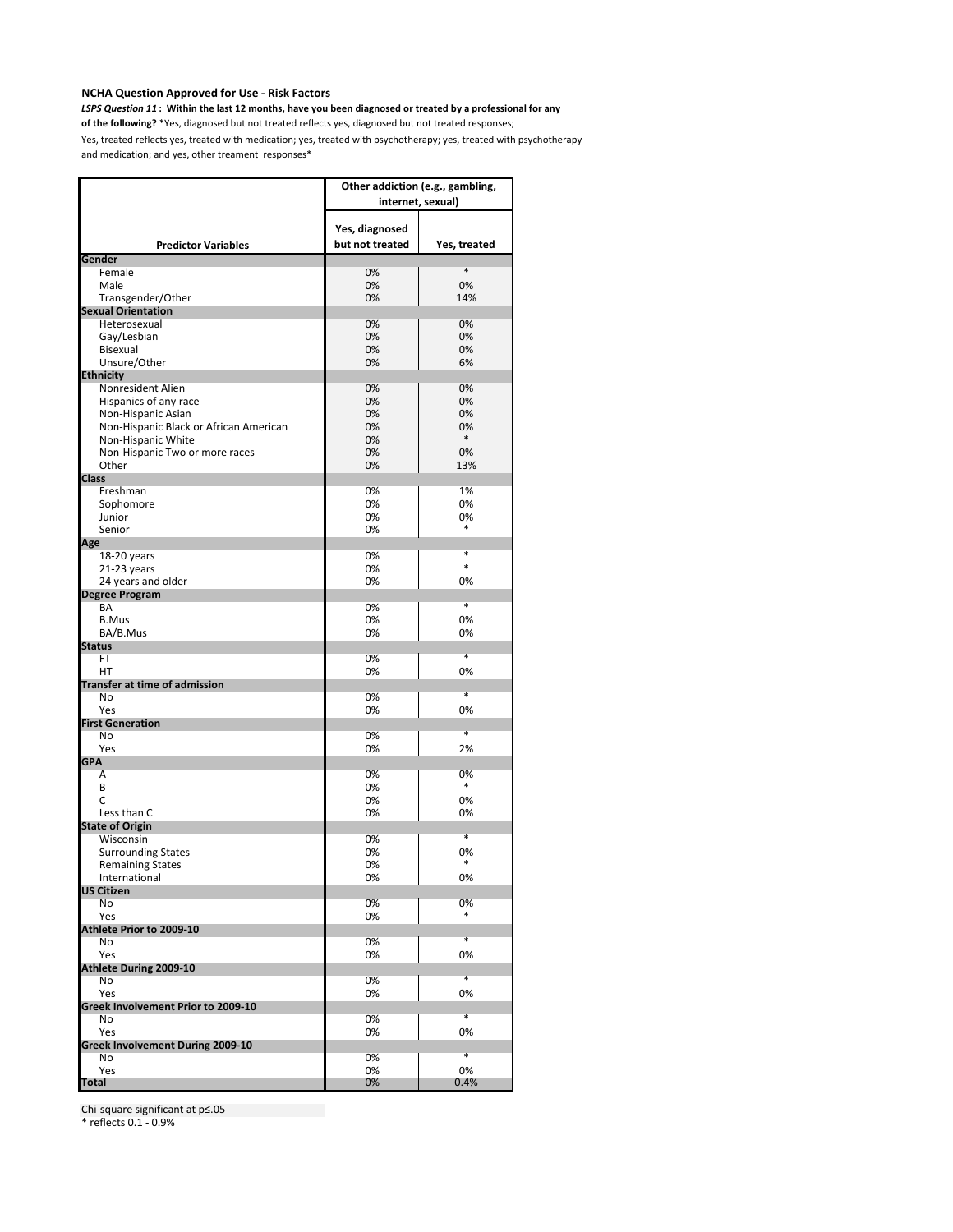*LSPS Question 11* **: Within the last 12 months, have you been diagnosed or treated by a professional for any** 

**of the following?** \*Yes, diagnosed but not treated reflects yes, diagnosed but not treated responses;

Yes, treated reflects yes, treated with medication; yes, treated with psychotherapy; yes, treated with psychotherapy and medication; and yes, other treament responses\*

|                                         | Other addiction (e.g., gambling,<br>internet, sexual) |              |  |
|-----------------------------------------|-------------------------------------------------------|--------------|--|
| <b>Predictor Variables</b>              | Yes, diagnosed<br>but not treated                     | Yes, treated |  |
| Gender                                  |                                                       | *            |  |
| Female<br>Male                          | 0%<br>0%                                              | 0%           |  |
| Transgender/Other                       | 0%                                                    | 14%          |  |
| <b>Sexual Orientation</b>               |                                                       |              |  |
| Heterosexual                            | 0%                                                    | 0%           |  |
| Gay/Lesbian                             | 0%                                                    | 0%           |  |
| Bisexual                                | 0%                                                    | 0%           |  |
| Unsure/Other                            | 0%                                                    | 6%           |  |
| <b>Ethnicity</b>                        |                                                       |              |  |
| Nonresident Alien                       | 0%                                                    | 0%           |  |
| Hispanics of any race                   | 0%                                                    | 0%           |  |
| Non-Hispanic Asian                      | 0%                                                    | 0%           |  |
| Non-Hispanic Black or African American  | 0%                                                    | 0%<br>*      |  |
| Non-Hispanic White                      | 0%                                                    | 0%           |  |
| Non-Hispanic Two or more races<br>Other | 0%<br>0%                                              | 13%          |  |
| <b>Class</b>                            |                                                       |              |  |
| Freshman                                | 0%                                                    | 1%           |  |
| Sophomore                               | 0%                                                    | 0%           |  |
| Junior                                  | 0%                                                    | 0%           |  |
| Senior                                  | 0%                                                    | $\ast$       |  |
| Age                                     |                                                       |              |  |
| 18-20 years                             | 0%                                                    | *            |  |
| 21-23 years                             | 0%                                                    | *            |  |
| 24 years and older                      | 0%                                                    | 0%           |  |
| <b>Degree Program</b>                   |                                                       |              |  |
| BA                                      | 0%                                                    | *            |  |
| <b>B.Mus</b>                            | 0%                                                    | 0%           |  |
| BA/B.Mus<br><b>Status</b>               | 0%                                                    | 0%           |  |
| <b>FT</b>                               | 0%                                                    | $\ast$       |  |
| HТ                                      | 0%                                                    | 0%           |  |
| <b>Transfer at time of admission</b>    |                                                       |              |  |
| No                                      | 0%                                                    | *            |  |
| Yes                                     | 0%                                                    | 0%           |  |
| <b>First Generation</b>                 |                                                       |              |  |
| No                                      | 0%                                                    | ∗            |  |
| Yes                                     | 0%                                                    | 2%           |  |
| <b>GPA</b>                              |                                                       |              |  |
| Α                                       | 0%                                                    | 0%<br>*      |  |
| B                                       | 0%                                                    |              |  |
| C<br>Less than C                        | 0%                                                    | 0%           |  |
| <b>State of Origin</b>                  | 0%                                                    | 0%           |  |
| Wisconsin                               | 0%                                                    | *            |  |
| <b>Surrounding States</b>               | 0%                                                    | 0%           |  |
| <b>Remaining States</b>                 | 0%                                                    | *            |  |
| International                           | 0%                                                    | 0%           |  |
| <b>US Citizen</b>                       |                                                       |              |  |
| No                                      | 0%                                                    | 0%           |  |
| Yes                                     | 0%                                                    | *            |  |
| Athlete Prior to 2009-10                |                                                       |              |  |
| No                                      | 0%                                                    | $\ast$       |  |
| Yes                                     | 0%                                                    | 0%           |  |
| Athlete During 2009-10                  |                                                       | *            |  |
| No<br>Yes                               | 0%<br>0%                                              | 0%           |  |
| Greek Involvement Prior to 2009-10      |                                                       |              |  |
| No                                      | 0%                                                    | ¥            |  |
| Yes                                     | 0%                                                    | 0%           |  |
| Greek Involvement During 2009-10        |                                                       |              |  |
| No                                      | 0%                                                    | ¥            |  |
| Yes                                     | 0%                                                    | 0%           |  |
| <b>Total</b>                            | 0%                                                    | 0.4%         |  |

Chi-square significant at p≤.05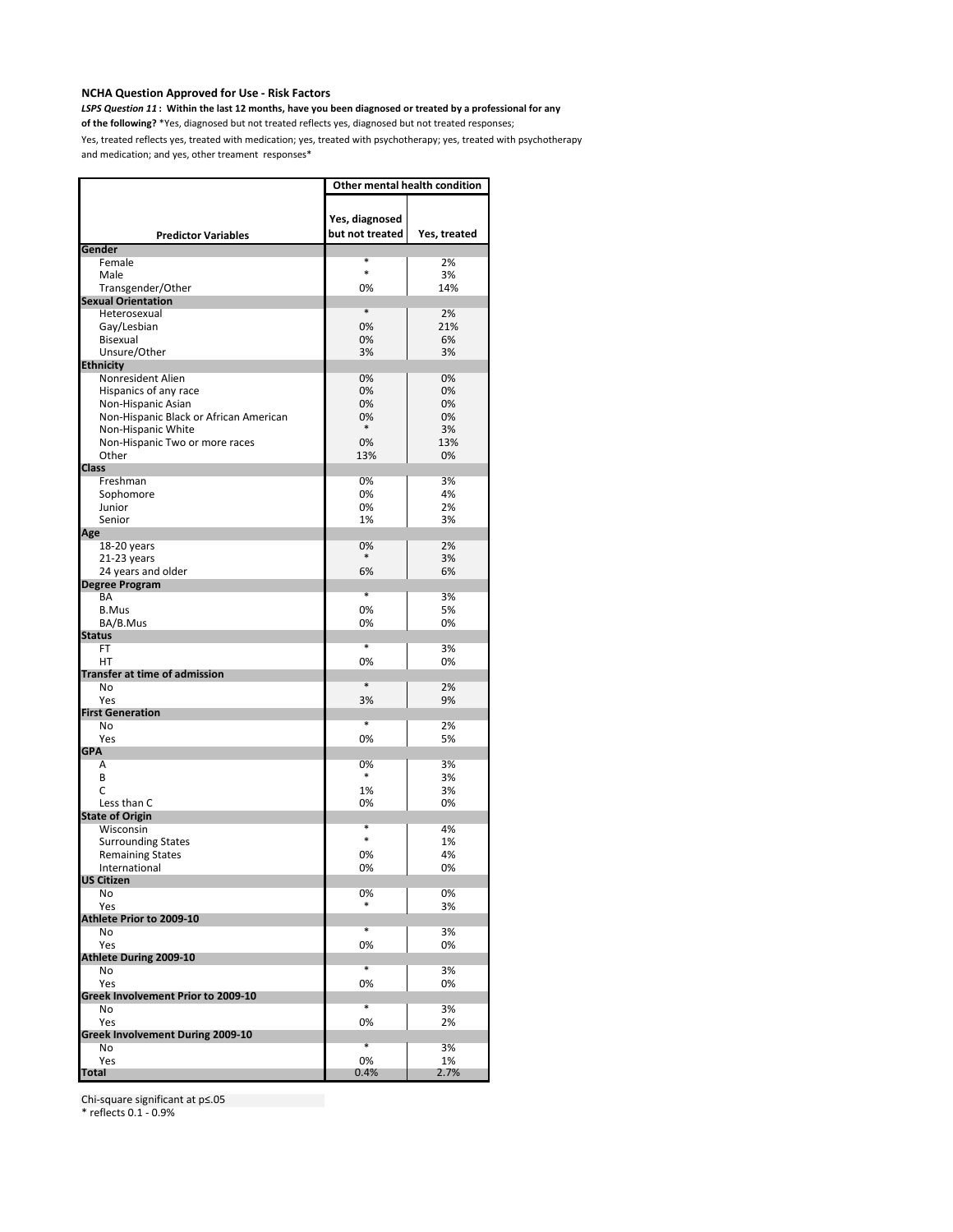*LSPS Question 11* **: Within the last 12 months, have you been diagnosed or treated by a professional for any** 

**of the following?** \*Yes, diagnosed but not treated reflects yes, diagnosed but not treated responses;

Yes, treated reflects yes, treated with medication; yes, treated with psychotherapy; yes, treated with psychotherapy and medication; and yes, other treament responses\*

|                                         | Other mental health condition     |              |  |
|-----------------------------------------|-----------------------------------|--------------|--|
| <b>Predictor Variables</b>              | Yes, diagnosed<br>but not treated | Yes, treated |  |
| Gender                                  |                                   |              |  |
| Female                                  | *<br>$\ast$                       | 2%           |  |
| Male                                    |                                   | 3%           |  |
| Transgender/Other                       | 0%                                | 14%          |  |
| <b>Sexual Orientation</b>               | *                                 |              |  |
| Heterosexual                            | 0%                                | 2%<br>21%    |  |
| Gay/Lesbian<br>Bisexual                 | 0%                                | 6%           |  |
| Unsure/Other                            | 3%                                | 3%           |  |
| <b>Ethnicity</b>                        |                                   |              |  |
| Nonresident Alien                       | 0%                                | 0%           |  |
| Hispanics of any race                   | 0%                                | 0%           |  |
| Non-Hispanic Asian                      | 0%                                | 0%           |  |
| Non-Hispanic Black or African American  | 0%                                | 0%           |  |
| Non-Hispanic White                      | *                                 | 3%           |  |
| Non-Hispanic Two or more races          | 0%                                | 13%          |  |
| Other                                   | 13%                               | 0%           |  |
| <b>Class</b>                            |                                   |              |  |
| Freshman                                | 0%                                | 3%           |  |
| Sophomore                               | 0%                                | 4%           |  |
| Junior                                  | 0%                                | 2%           |  |
| Senior                                  | 1%                                | 3%           |  |
| Age                                     |                                   |              |  |
| 18-20 years                             | 0%                                | 2%           |  |
| 21-23 years                             | $\ast$                            | 3%           |  |
| 24 years and older                      | 6%                                | 6%           |  |
| <b>Degree Program</b>                   |                                   |              |  |
| BA                                      | $\ast$                            | 3%           |  |
| <b>B.Mus</b>                            | 0%                                | 5%           |  |
| BA/B.Mus                                | 0%                                | 0%           |  |
| <b>Status</b>                           |                                   |              |  |
| <b>FT</b>                               | *                                 | 3%           |  |
| HT                                      | 0%                                | 0%           |  |
| <b>Transfer at time of admission</b>    | *                                 |              |  |
| No                                      |                                   | 2%           |  |
| Yes<br><b>First Generation</b>          | 3%                                | 9%           |  |
| No                                      | $\ast$                            | 2%           |  |
| Yes                                     | 0%                                | 5%           |  |
| <b>GPA</b>                              |                                   |              |  |
| Α                                       | 0%                                | 3%           |  |
| B                                       | $\ast$                            | 3%           |  |
| C                                       | 1%                                | 3%           |  |
| Less than C                             | 0%                                | 0%           |  |
| <b>State of Origin</b>                  |                                   |              |  |
| Wisconsin                               | *                                 | 4%           |  |
| <b>Surrounding States</b>               | $\ast$                            | 1%           |  |
| <b>Remaining States</b>                 | 0%                                | 4%           |  |
| International                           | 0%                                | 0%           |  |
| <b>US Citizen</b>                       |                                   |              |  |
| No                                      | 0%                                | 0%           |  |
| Yes                                     |                                   | 3%           |  |
| Athlete Prior to 2009-10                |                                   |              |  |
| No                                      | ×                                 | 3%           |  |
| Yes                                     | 0%                                | 0%           |  |
| <b>Athlete During 2009-10</b>           | *                                 |              |  |
| No                                      |                                   | 3%           |  |
| Yes                                     | 0%                                | 0%           |  |
| Greek Involvement Prior to 2009-10      | $\overline{\ast}$                 |              |  |
| No                                      |                                   | 3%           |  |
| Yes<br>Greek Involvement During 2009-10 | 0%                                | 2%           |  |
| No                                      | $\overline{\ast}$                 | 3%           |  |
| Yes                                     | 0%                                | 1%           |  |
| <b>Total</b>                            | 0.4%                              | 2.7%         |  |

Chi-square significant at p≤.05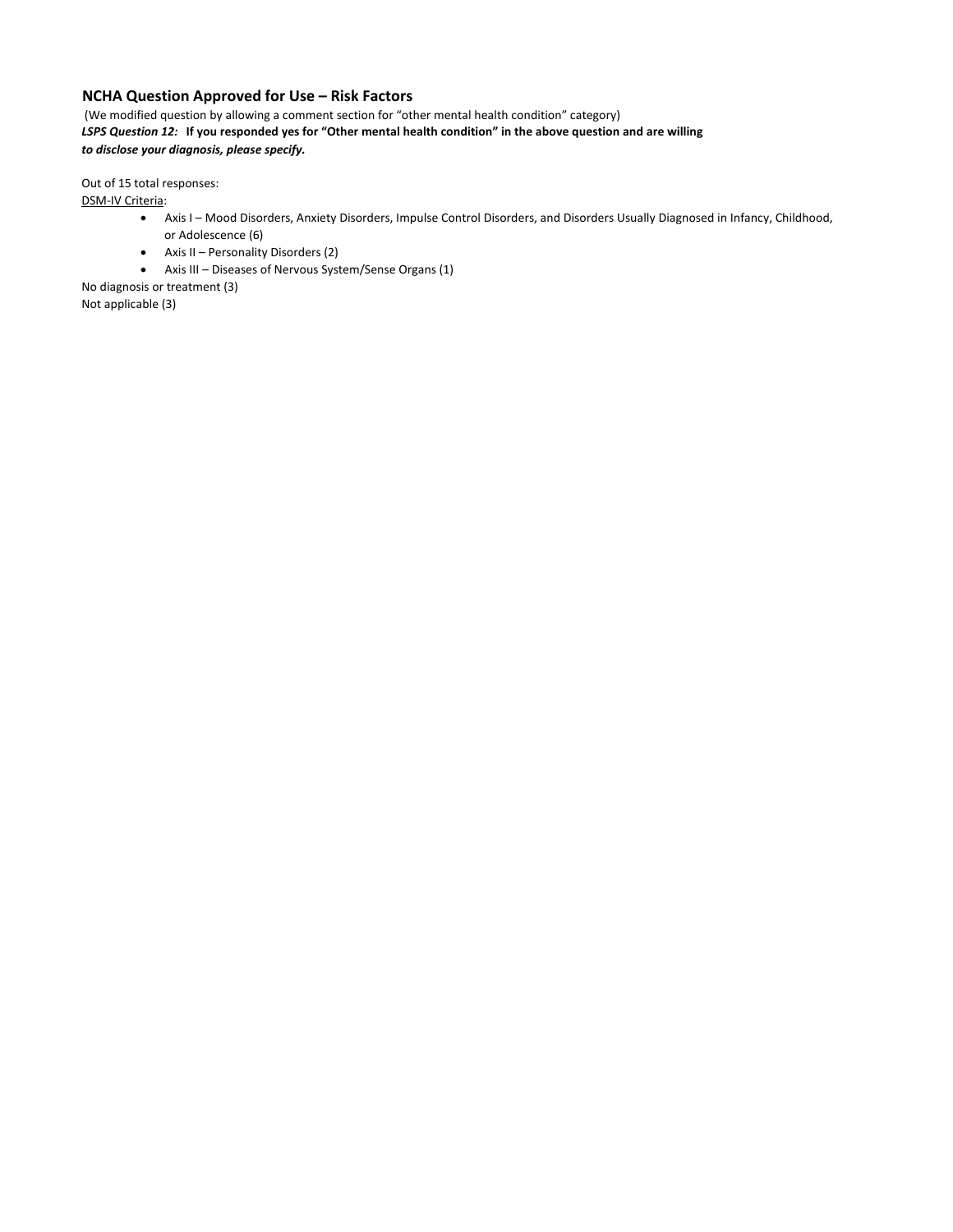(We modified question by allowing a comment section for "other mental health condition" category) *LSPS Question 12:* **If you responded yes for "Other mental health condition" in the above question and are willing**  *to disclose your diagnosis, please specify.* 

Out of 15 total responses:

DSM-IV Criteria:

- Axis I Mood Disorders, Anxiety Disorders, Impulse Control Disorders, and Disorders Usually Diagnosed in Infancy, Childhood, or Adolescence (6)
- Axis II Personality Disorders (2)
- Axis III Diseases of Nervous System/Sense Organs (1)

No diagnosis or treatment (3) Not applicable (3)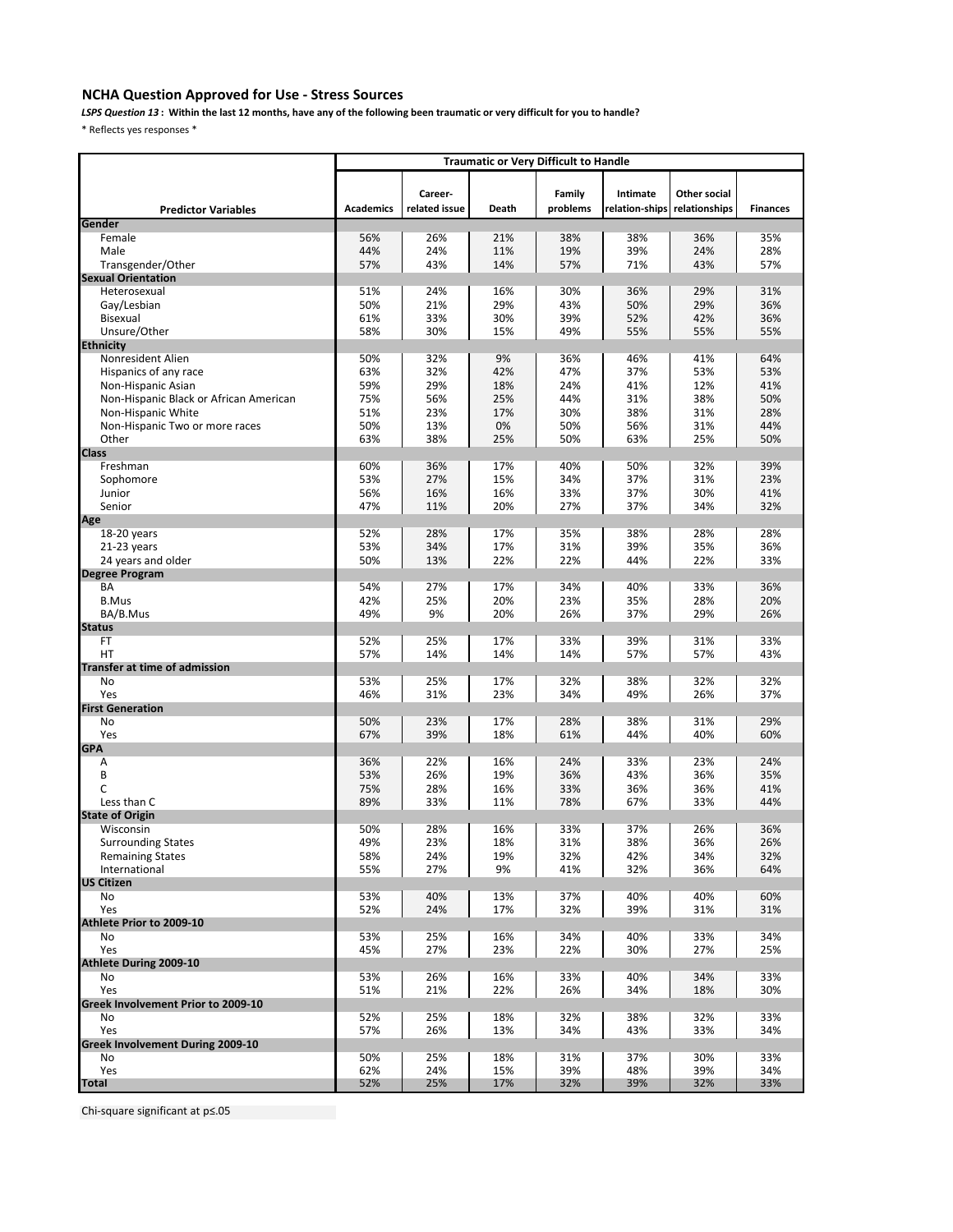# **NCHA Question Approved for Use - Stress Sources**

*LSPS Question 13* **: Within the last 12 months, have any of the following been traumatic or very difficult for you to handle?** 

\* Reflects yes responses \*

|                                         | <b>Traumatic or Very Difficult to Handle</b> |               |            |            |                |               |                 |
|-----------------------------------------|----------------------------------------------|---------------|------------|------------|----------------|---------------|-----------------|
|                                         |                                              |               |            |            |                |               |                 |
|                                         |                                              | Career-       |            | Family     | Intimate       | Other social  |                 |
| <b>Predictor Variables</b>              | <b>Academics</b>                             | related issue | Death      | problems   | relation-ships | relationships | <b>Finances</b> |
| Gender                                  |                                              |               |            |            |                |               |                 |
| Female                                  | 56%                                          | 26%           | 21%        | 38%        | 38%            | 36%           | 35%             |
| Male                                    | 44%                                          | 24%           | 11%        | 19%        | 39%            | 24%           | 28%             |
| Transgender/Other                       | 57%                                          | 43%           | 14%        | 57%        | 71%            | 43%           | 57%             |
| <b>Sexual Orientation</b>               |                                              |               |            |            |                |               |                 |
| Heterosexual                            | 51%                                          | 24%           | 16%        | 30%        | 36%            | 29%           | 31%             |
| Gay/Lesbian                             | 50%                                          | 21%           | 29%        | 43%        | 50%            | 29%           | 36%             |
| Bisexual                                | 61%                                          | 33%           | 30%        | 39%        | 52%            | 42%           | 36%             |
| Unsure/Other                            | 58%                                          | 30%           | 15%        | 49%        | 55%            | 55%           | 55%             |
| <b>Ethnicity</b><br>Nonresident Alien   | 50%                                          | 32%           | 9%         | 36%        | 46%            | 41%           | 64%             |
| Hispanics of any race                   | 63%                                          | 32%           | 42%        | 47%        | 37%            | 53%           | 53%             |
| Non-Hispanic Asian                      | 59%                                          | 29%           | 18%        | 24%        | 41%            | 12%           | 41%             |
| Non-Hispanic Black or African American  | 75%                                          | 56%           | 25%        | 44%        | 31%            | 38%           | 50%             |
| Non-Hispanic White                      | 51%                                          | 23%           | 17%        | 30%        | 38%            | 31%           | 28%             |
| Non-Hispanic Two or more races          | 50%                                          | 13%           | 0%         | 50%        | 56%            | 31%           | 44%             |
| Other                                   | 63%                                          | 38%           | 25%        | 50%        | 63%            | 25%           | 50%             |
| <b>Class</b>                            |                                              |               |            |            |                |               |                 |
| Freshman                                | 60%                                          | 36%           | 17%        | 40%        | 50%            | 32%           | 39%             |
| Sophomore                               | 53%                                          | 27%           | 15%        | 34%        | 37%            | 31%           | 23%             |
| Junior                                  | 56%                                          | 16%           | 16%        | 33%        | 37%            | 30%           | 41%             |
| Senior                                  | 47%                                          | 11%           | 20%        | 27%        | 37%            | 34%           | 32%             |
| Age                                     |                                              |               |            |            |                |               |                 |
| 18-20 years                             | 52%                                          | 28%           | 17%        | 35%        | 38%            | 28%           | 28%             |
| $21-23$ years<br>24 years and older     | 53%<br>50%                                   | 34%<br>13%    | 17%<br>22% | 31%<br>22% | 39%<br>44%     | 35%<br>22%    | 36%<br>33%      |
| <b>Degree Program</b>                   |                                              |               |            |            |                |               |                 |
| BA                                      | 54%                                          | 27%           | 17%        | 34%        | 40%            | 33%           | 36%             |
| <b>B.Mus</b>                            | 42%                                          | 25%           | 20%        | 23%        | 35%            | 28%           | 20%             |
| BA/B.Mus                                | 49%                                          | 9%            | 20%        | 26%        | 37%            | 29%           | 26%             |
| <b>Status</b>                           |                                              |               |            |            |                |               |                 |
| FT                                      | 52%                                          | 25%           | 17%        | 33%        | 39%            | 31%           | 33%             |
| HT                                      | 57%                                          | 14%           | 14%        | 14%        | 57%            | 57%           | 43%             |
| Transfer at time of admission           |                                              |               |            |            |                |               |                 |
| No                                      | 53%                                          | 25%           | 17%        | 32%        | 38%            | 32%           | 32%             |
| Yes                                     | 46%                                          | 31%           | 23%        | 34%        | 49%            | 26%           | 37%             |
| <b>First Generation</b><br>No           | 50%                                          | 23%           | 17%        | 28%        | 38%            | 31%           | 29%             |
| Yes                                     | 67%                                          | 39%           | 18%        | 61%        | 44%            | 40%           | 60%             |
| <b>GPA</b>                              |                                              |               |            |            |                |               |                 |
| Α                                       | 36%                                          | 22%           | 16%        | 24%        | 33%            | 23%           | 24%             |
| B                                       | 53%                                          | 26%           | 19%        | 36%        | 43%            | 36%           | 35%             |
| C                                       | 75%                                          | 28%           | 16%        | 33%        | 36%            | 36%           | 41%             |
| Less than C                             | 89%                                          | 33%           | 11%        | 78%        | 67%            | 33%           | 44%             |
| <b>State of Origin</b>                  |                                              |               |            |            |                |               |                 |
| Wisconsin                               | 50%                                          | 28%           | 16%        | 33%        | 37%            | 26%           | 36%             |
| <b>Surrounding States</b>               | 49%                                          | 23%           | 18%        | 31%        | 38%            | 36%           | 26%             |
| <b>Remaining States</b>                 | 58%                                          | 24%           | 19%        | 32%        | 42%            | 34%           | 32%             |
| International<br><b>US Citizen</b>      | 55%                                          | 27%           | 9%         | 41%        | 32%            | 36%           | 64%             |
| No                                      | 53%                                          | 40%           | 13%        | 37%        | 40%            | 40%           | 60%             |
| Yes                                     | 52%                                          | 24%           | 17%        | 32%        | 39%            | 31%           | 31%             |
| Athlete Prior to 2009-10                |                                              |               |            |            |                |               |                 |
| No                                      | 53%                                          | 25%           | 16%        | 34%        | 40%            | 33%           | 34%             |
| Yes                                     | 45%                                          | 27%           | 23%        | 22%        | 30%            | 27%           | 25%             |
| Athlete During 2009-10                  |                                              |               |            |            |                |               |                 |
| No                                      | 53%                                          | 26%           | 16%        | 33%        | 40%            | 34%           | 33%             |
| Yes                                     | 51%                                          | 21%           | 22%        | 26%        | 34%            | 18%           | 30%             |
| Greek Involvement Prior to 2009-10      |                                              |               |            |            |                |               |                 |
| No                                      | 52%                                          | 25%           | 18%        | 32%        | 38%            | 32%           | 33%             |
| Yes<br>Greek Involvement During 2009-10 | 57%                                          | 26%           | 13%        | 34%        | 43%            | 33%           | 34%             |
| No                                      | 50%                                          | 25%           | 18%        | 31%        | 37%            | 30%           | 33%             |
| Yes                                     | 62%                                          | 24%           | 15%        | 39%        | 48%            | 39%           | 34%             |
| <b>Total</b>                            | 52%                                          | 25%           | 17%        | 32%        | 39%            | 32%           | 33%             |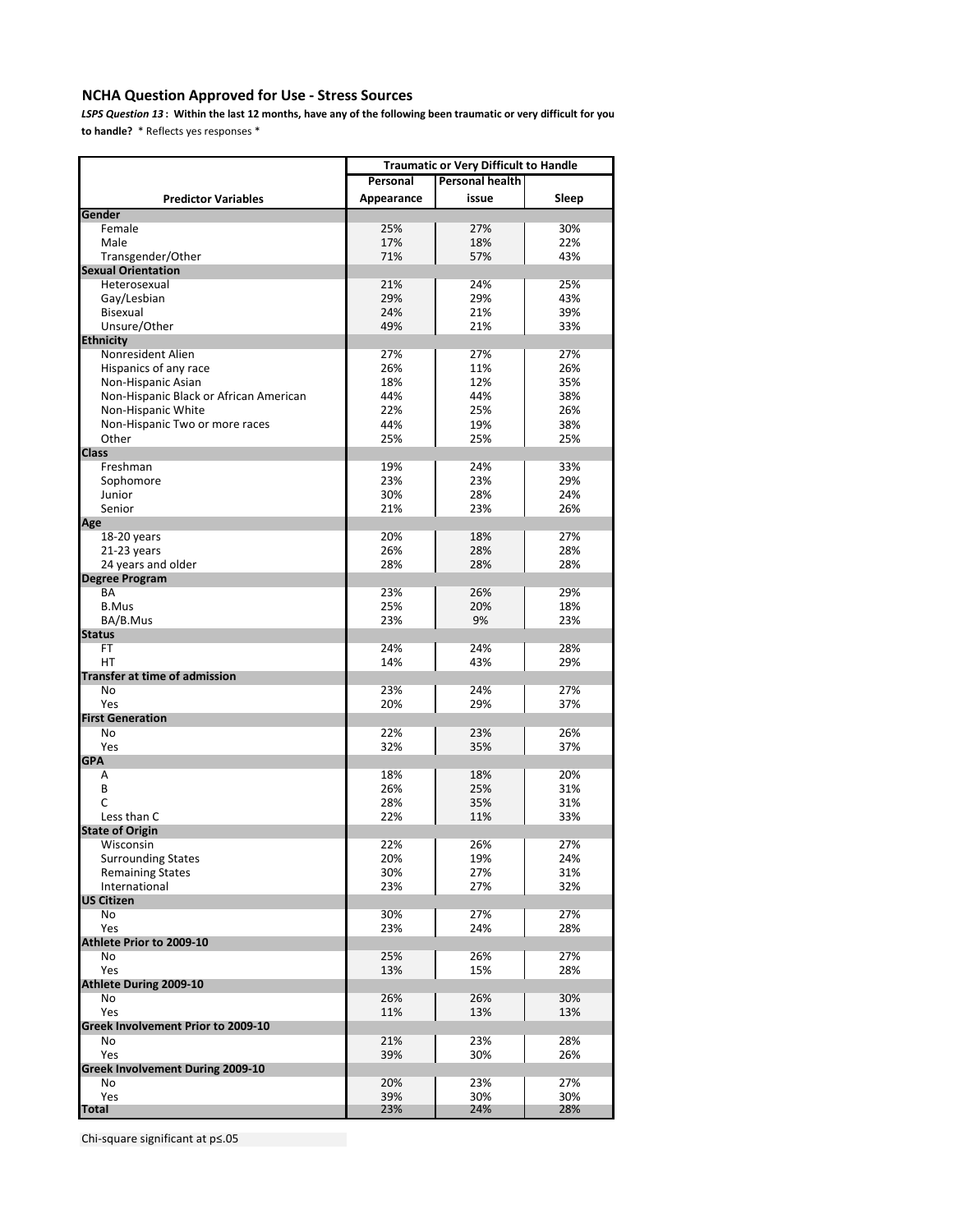# **NCHA Question Approved for Use - Stress Sources**

*LSPS Question 13* **: Within the last 12 months, have any of the following been traumatic or very difficult for you to handle?** \* Reflects yes responses \*

|                                        | <b>Traumatic or Very Difficult to Handle</b> |       |       |
|----------------------------------------|----------------------------------------------|-------|-------|
|                                        | <b>Personal health</b><br>Personal           |       |       |
| <b>Predictor Variables</b>             | Appearance                                   | issue | Sleep |
| Gender                                 |                                              |       |       |
| Female                                 | 25%                                          | 27%   | 30%   |
| Male                                   | 17%                                          | 18%   | 22%   |
| Transgender/Other                      | 71%                                          | 57%   | 43%   |
| <b>Sexual Orientation</b>              |                                              |       |       |
| Heterosexual                           | 21%                                          | 24%   | 25%   |
| Gay/Lesbian                            | 29%                                          | 29%   | 43%   |
| Bisexual                               | 24%                                          | 21%   | 39%   |
| Unsure/Other                           | 49%                                          | 21%   | 33%   |
| <b>Ethnicity</b>                       |                                              |       |       |
| Nonresident Alien                      | 27%                                          | 27%   | 27%   |
| Hispanics of any race                  | 26%                                          | 11%   | 26%   |
| Non-Hispanic Asian                     | 18%                                          | 12%   | 35%   |
| Non-Hispanic Black or African American | 44%                                          | 44%   | 38%   |
| Non-Hispanic White                     | 22%                                          | 25%   | 26%   |
| Non-Hispanic Two or more races         | 44%                                          | 19%   | 38%   |
| Other                                  | 25%                                          | 25%   | 25%   |
| <b>Class</b>                           |                                              |       |       |
| Freshman                               | 19%                                          | 24%   | 33%   |
| Sophomore                              | 23%                                          | 23%   | 29%   |
| Junior                                 | 30%                                          | 28%   | 24%   |
| Senior                                 | 21%                                          | 23%   | 26%   |
| Age                                    |                                              |       |       |
| 18-20 years                            | 20%                                          | 18%   | 27%   |
| 21-23 years                            | 26%                                          | 28%   | 28%   |
| 24 years and older                     | 28%                                          | 28%   | 28%   |
| <b>Degree Program</b>                  |                                              |       |       |
| BA                                     | 23%                                          | 26%   | 29%   |
| <b>B.Mus</b>                           | 25%                                          | 20%   | 18%   |
| BA/B.Mus                               | 23%                                          | 9%    | 23%   |
| <b>Status</b>                          |                                              |       |       |
| FT                                     | 24%                                          | 24%   | 28%   |
| НT                                     | 14%                                          | 43%   | 29%   |
| <b>Transfer at time of admission</b>   |                                              |       |       |
| No                                     | 23%                                          | 24%   | 27%   |
| Yes<br><b>First Generation</b>         | 20%                                          | 29%   | 37%   |
| No                                     | 22%                                          | 23%   | 26%   |
| Yes                                    | 32%                                          | 35%   | 37%   |
| <b>GPA</b>                             |                                              |       |       |
| Α                                      | 18%                                          | 18%   | 20%   |
| B                                      | 26%                                          | 25%   | 31%   |
| C                                      | 28%                                          | 35%   | 31%   |
| Less than C                            | 22%                                          | 11%   | 33%   |
| <b>State of Origin</b>                 |                                              |       |       |
| Wisconsin                              | 22%                                          | 26%   | 27%   |
| <b>Surrounding States</b>              | 20%                                          | 19%   | 24%   |
| <b>Remaining States</b>                | 30%                                          | 27%   | 31%   |
| International                          | 23%                                          | 27%   | 32%   |
| <b>US Citizen</b>                      |                                              |       |       |
| No                                     | 30%                                          | 27%   | 27%   |
| Yes                                    | 23%                                          | 24%   | 28%   |
| Athlete Prior to 2009-10               |                                              |       |       |
| No                                     | 25%                                          | 26%   | 27%   |
| Yes                                    | 13%                                          | 15%   | 28%   |
| Athlete During 2009-10                 |                                              |       |       |
| No                                     | 26%                                          | 26%   | 30%   |
| Yes                                    | 11%                                          | 13%   | 13%   |
| Greek Involvement Prior to 2009-10     |                                              |       |       |
| No                                     | 21%                                          | 23%   | 28%   |
| Yes                                    | 39%                                          | 30%   | 26%   |
| Greek Involvement During 2009-10       |                                              |       |       |
| No                                     | 20%                                          | 23%   | 27%   |
| Yes                                    | 39%                                          | 30%   | 30%   |
| <b>Total</b>                           | 23%                                          | 24%   | 28%   |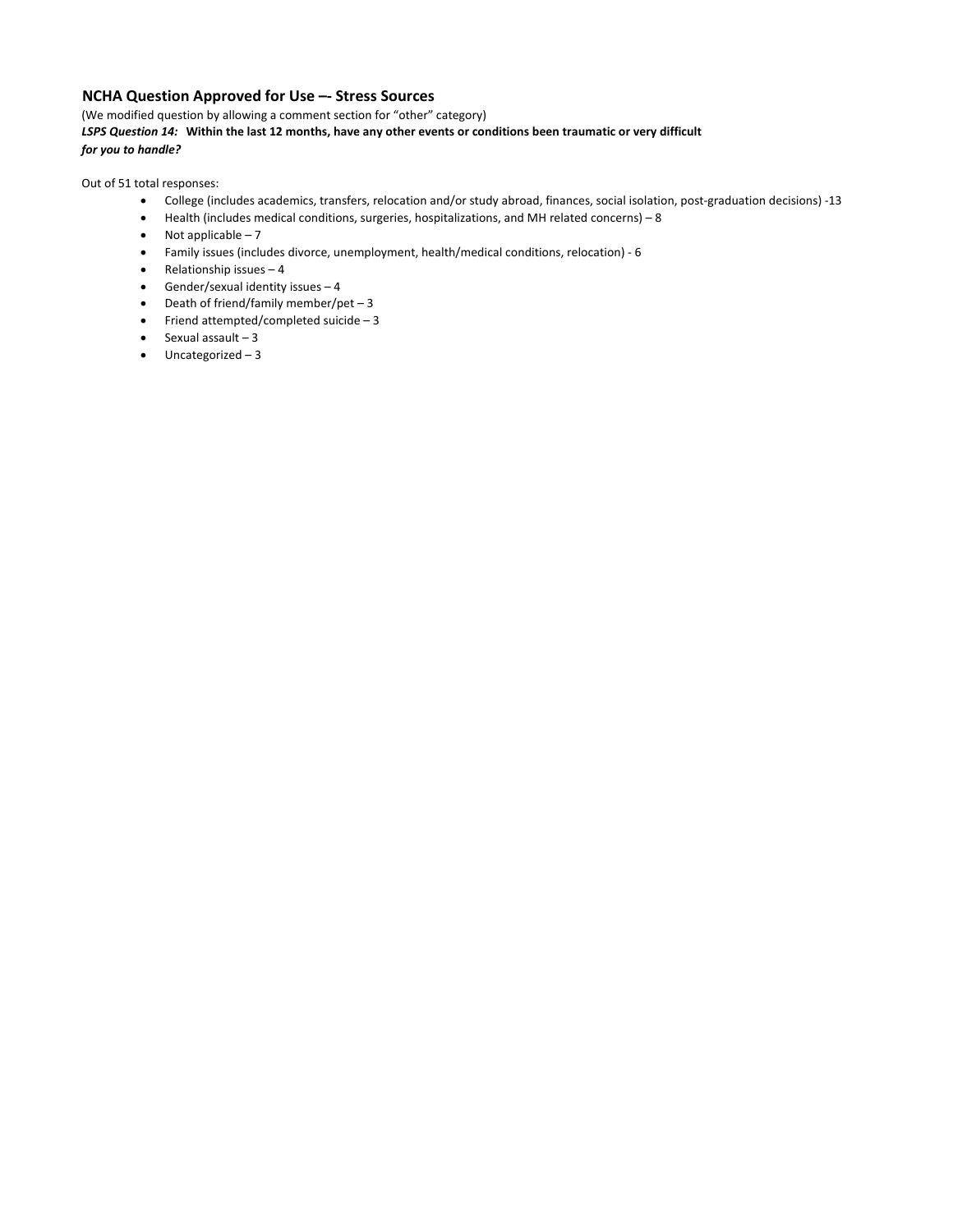# **NCHA Question Approved for Use –- Stress Sources**

(We modified question by allowing a comment section for "other" category) *LSPS Question 14:* **Within the last 12 months, have any other events or conditions been traumatic or very difficult**  *for you to handle?*

Out of 51 total responses:

- College (includes academics, transfers, relocation and/or study abroad, finances, social isolation, post-graduation decisions) -13
- Health (includes medical conditions, surgeries, hospitalizations, and MH related concerns) 8
- $\bullet$  Not applicable 7
- Family issues (includes divorce, unemployment, health/medical conditions, relocation) 6
- Relationship issues 4
- Gender/sexual identity issues 4
- Death of friend/family member/pet 3
- Friend attempted/completed suicide 3
- $\bullet$  Sexual assault 3
- Uncategorized 3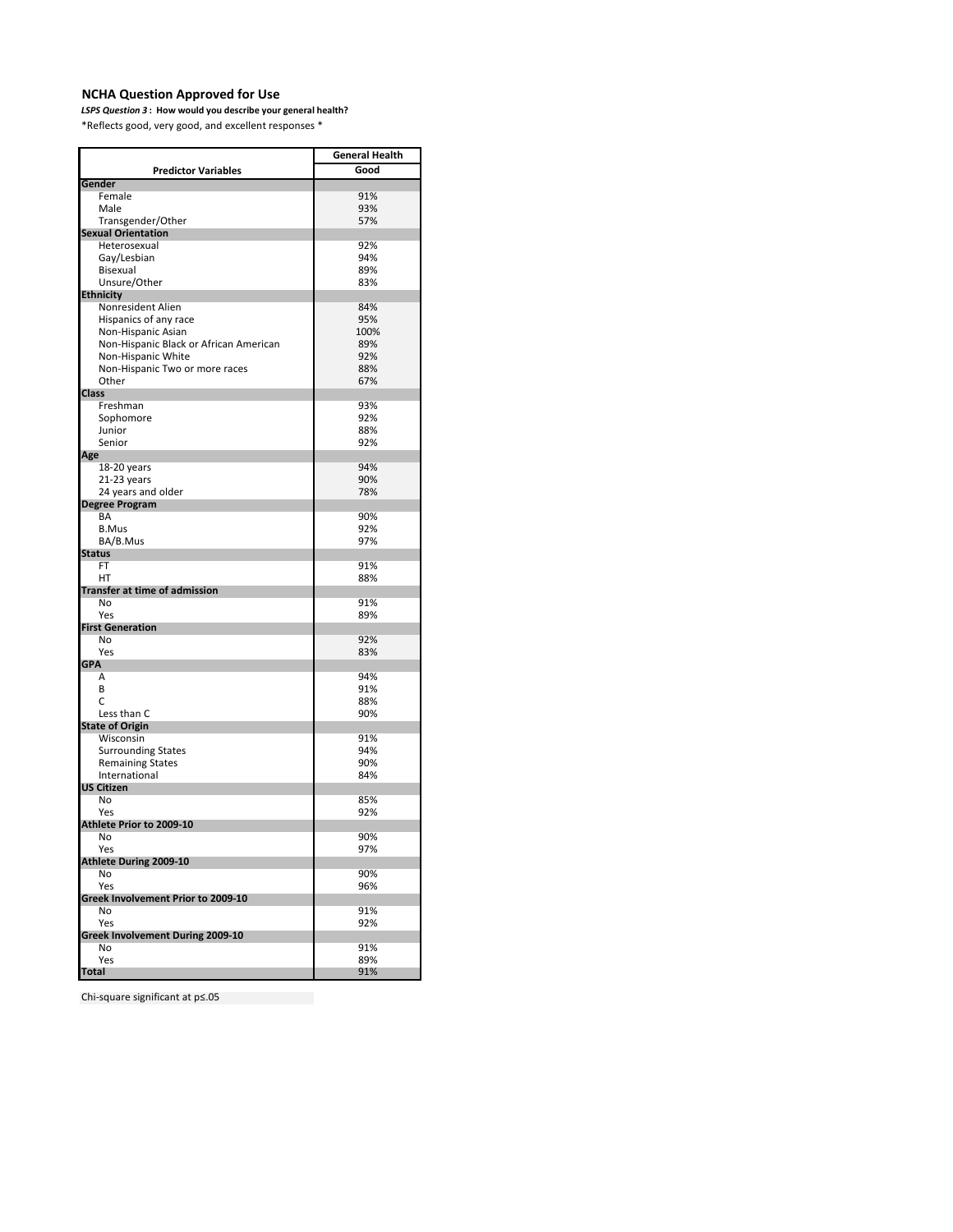#### **NCHA Question Approved for Use**

*LSPS Question 3* **: How would you describe your general health?**  \*Reflects good, very good, and excellent responses \*

**General Health Good Gender**  Female 91% Male 93% Transgender/Other 57% **Sexual Orientation** Heterosexual 92% Gay/Lesbian 194% (1949)<br>Bisexual 1959 (1959) (1959) (1959) (1959) (1959) (1959) (1969) (1969) (1969) (1969) (1969) (1969) (1969) (196 Bisexual 89% Unsure/Other **Ethnicity**  Nonresident Alien 84% and 84% and 84% and 84% and 84% and 84% and 84% and 84% and 84% and 85% and 85% and 85% <br>By Band 85% and 86% and 86% and 86% and 86% and 86% and 86% and 86% and 86% and 86% and 86% and 86% and 86% and Hispanics of any race 95% Non-Hispanic Asian<br>
Non-Hispanic Black or African American 100% Non-Hispanic Black or African American 89% Non-Hispanic White 92% Non-Hispanic Two or more races 88%<br>Other 67% Other 67% **Class**  Freshman 93% Sophomore 92% Junior 88% Senior 92% **Age** 18-20 years 94% and 18-20 years 94% and 18-20 years 95% and 18-20 years 96% and 18-20 years 96% and 18-20 years 96% and 18-20 years 96% and 18-20 years 96% and 18-20 years 96% and 18-20 years 96% and 18-20 years 96% and 18 21-23 years 90% and older the control of the control of the control of the control of the control of the control of the control of the control of the control of the control of the control of the control of the control of t 24 years and older **Degree Program** BA 90% B.Mus 92% BA/B.Mus 97% **Status** FT 91% HT 88% **Transfer at time of admission** No 91% **Yes** 89% **First Generation**  No 92% **Yes** 83% **GPA**   $\mathsf A$  94% B 91%  $\sim$  88% Less than C 90% **State of Origin** Wisconsin 91% Surrounding States 84% and 1948 and 1948 and 1949 and 1948 and 1949 and 1948 and 1949 and 1949 and 1949 and 19<br>
1949 and 1949 and 1949 and 1949 and 1949 and 1949 and 1949 and 1949 and 1949 and 1949 and 1949 and 1949 and 1 Remaining States 600% and 100% and 100% and 100% and 100% and 100% and 100% and 100% and 100% and 100% and 100<br>
Remaining States 600 and 100% and 100% and 100% and 100% and 100% and 100% and 100% and 100% and 100% and 100<br> International **US Citizen** No 85% Yes 92% **Athlete Prior to 2009-10** No 90% Yes 97% **Athlete During 2009-10** No 90% **Yes** 96% No 91% Yes 92% No 91% **Yes** 89% **Total** 91% **Predictor Variables Greek Involvement Prior to 2009-10 Greek Involvement During 2009-10**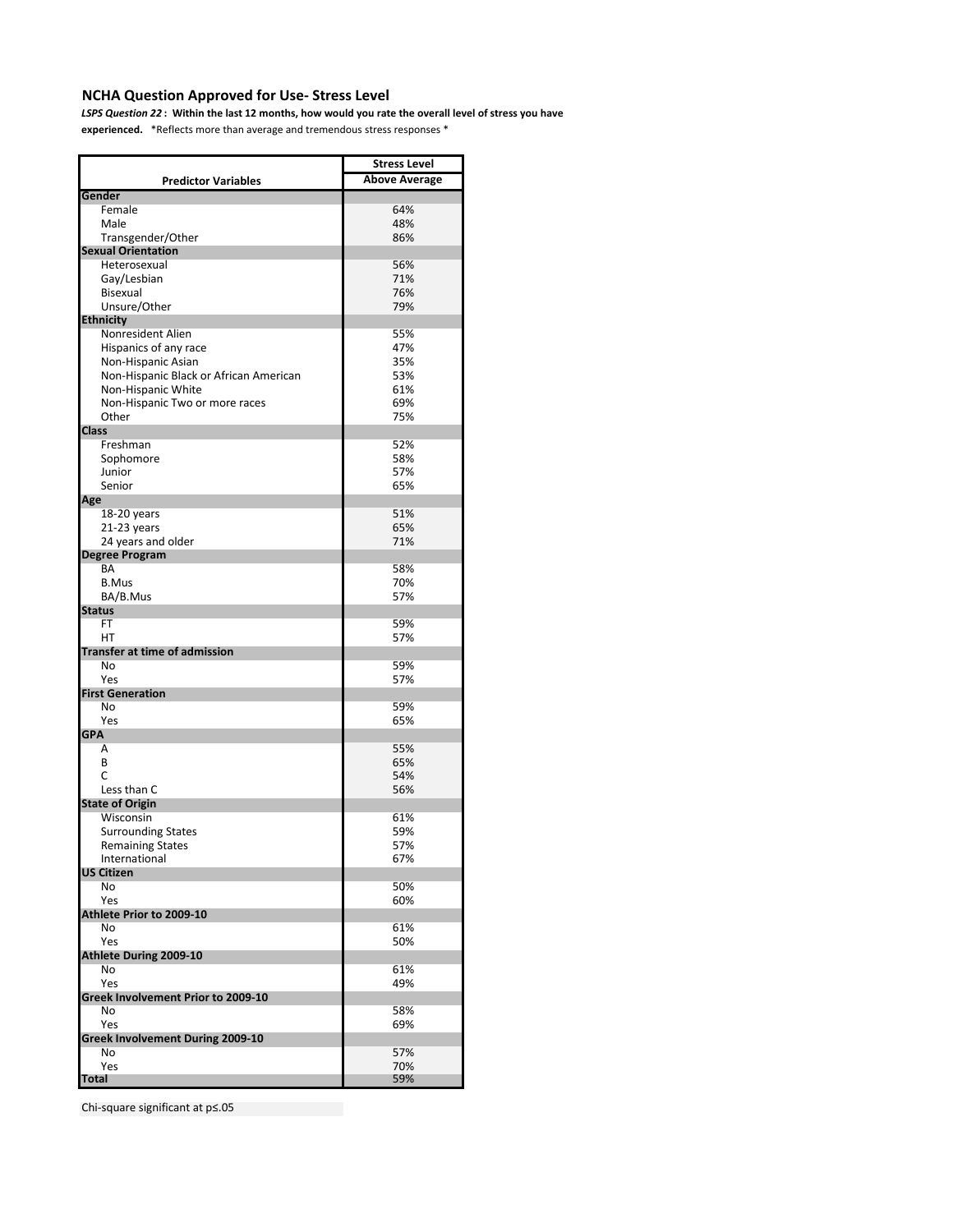# **NCHA Question Approved for Use- Stress Level**

*LSPS Question 22* **: Within the last 12 months, how would you rate the overall level of stress you have**

**experienced.** \*Reflects more than average and tremendous stress responses \*

|                                         | <b>Stress Level</b>  |
|-----------------------------------------|----------------------|
| <b>Predictor Variables</b>              | <b>Above Average</b> |
| Gender                                  |                      |
| Female                                  | 64%                  |
| Male                                    | 48%                  |
| Transgender/Other                       | 86%                  |
| <b>Sexual Orientation</b>               |                      |
| Heterosexual                            | 56%                  |
| Gay/Lesbian                             | 71%                  |
| <b>Bisexual</b>                         | 76%                  |
| Unsure/Other                            | 79%                  |
| <b>Ethnicity</b>                        |                      |
| Nonresident Alien                       | 55%                  |
| Hispanics of any race                   | 47%                  |
| Non-Hispanic Asian                      | 35%                  |
| Non-Hispanic Black or African American  | 53%<br>61%           |
| Non-Hispanic White                      | 69%                  |
| Non-Hispanic Two or more races<br>Other | 75%                  |
|                                         |                      |
| <b>Class</b><br>Freshman                | 52%                  |
| Sophomore                               | 58%                  |
| Junior                                  | 57%                  |
| Senior                                  | 65%                  |
| Age                                     |                      |
| $18-20$ years                           | 51%                  |
| 21-23 years                             | 65%                  |
| 24 years and older                      | 71%                  |
| <b>Degree Program</b>                   |                      |
| BA                                      | 58%                  |
| <b>B.Mus</b>                            | 70%                  |
| BA/B.Mus                                | 57%                  |
| <b>Status</b>                           |                      |
| FT                                      | 59%                  |
| НT                                      | 57%                  |
| <b>Transfer at time of admission</b>    |                      |
| No                                      | 59%                  |
| Yes                                     | 57%                  |
| <b>First Generation</b>                 |                      |
| No                                      | 59%                  |
| Yes                                     | 65%                  |
| <b>GPA</b>                              |                      |
| A                                       | 55%                  |
| B                                       | 65%                  |
| C                                       | 54%                  |
| Less than C                             | 56%                  |
| <b>State of Origin</b>                  |                      |
| Wisconsin                               | 61%                  |
| <b>Surrounding States</b>               | 59%                  |
| <b>Remaining States</b>                 | 57%                  |
| International                           | 67%                  |
| <b>US Citizen</b><br>No                 |                      |
| Yes                                     | 50%<br>60%           |
| Athlete Prior to 2009-10                |                      |
| No                                      | 61%                  |
| Yes                                     | 50%                  |
| <b>Athlete During 2009-10</b>           |                      |
| No                                      | 61%                  |
| Yes                                     | 49%                  |
| Greek Involvement Prior to 2009-10      |                      |
| No                                      | 58%                  |
| Yes                                     | 69%                  |
| Greek Involvement During 2009-10        |                      |
| No                                      | 57%                  |
| Yes                                     | 70%                  |
| Total                                   | 59%                  |
|                                         |                      |